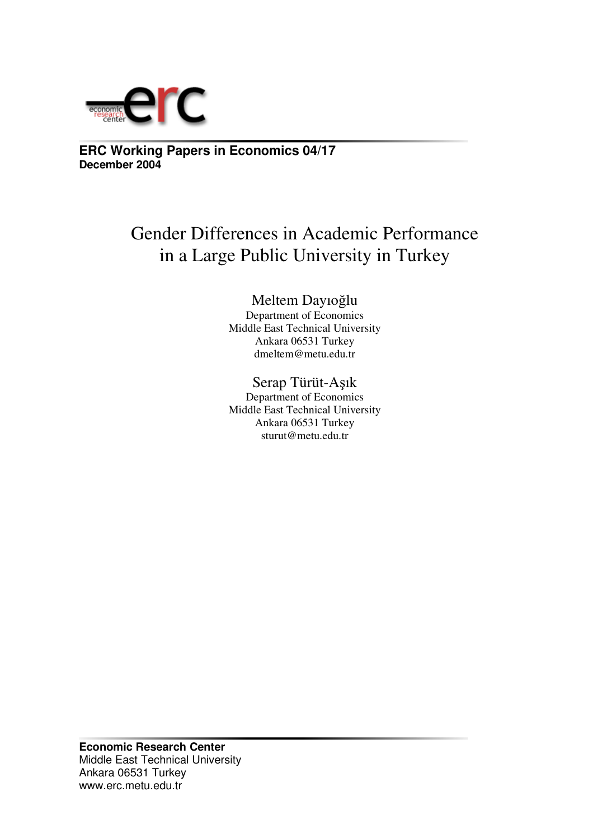

**ERC Working Papers in Economics 04/17 December 2004**

# Gender Differences in Academic Performance in a Large Public University in Turkey

## Meltem Dayıoğlu

Department of Economics Middle East Technical University Ankara 06531 Turkey dmeltem@metu.edu.tr

## Serap Türüt-Aşık

Department of Economics Middle East Technical University Ankara 06531 Turkey sturut@metu.edu.tr

**Economic Research Center** Middle East Technical University Ankara 06531 Turkey www.erc.metu.edu.tr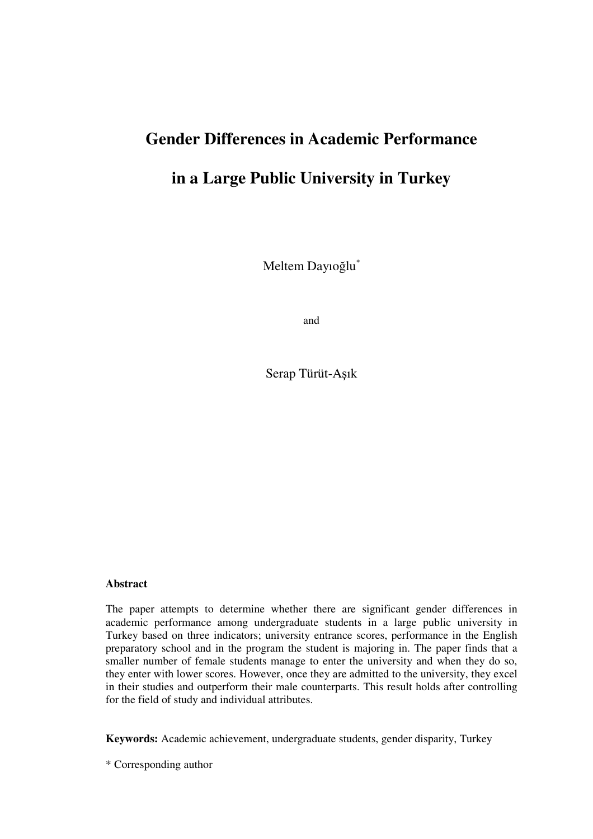# **Gender Differences in Academic Performance**

## **in a Large Public University in Turkey**

Meltem Dayıoğlu $^{\ast}$ 

and

Serap Türüt-Aşık

#### **Abstract**

The paper attempts to determine whether there are significant gender differences in academic performance among undergraduate students in a large public university in Turkey based on three indicators; university entrance scores, performance in the English preparatory school and in the program the student is majoring in. The paper finds that a smaller number of female students manage to enter the university and when they do so, they enter with lower scores. However, once they are admitted to the university, they excel in their studies and outperform their male counterparts. This result holds after controlling for the field of study and individual attributes.

**Keywords:** Academic achievement, undergraduate students, gender disparity, Turkey

\* Corresponding author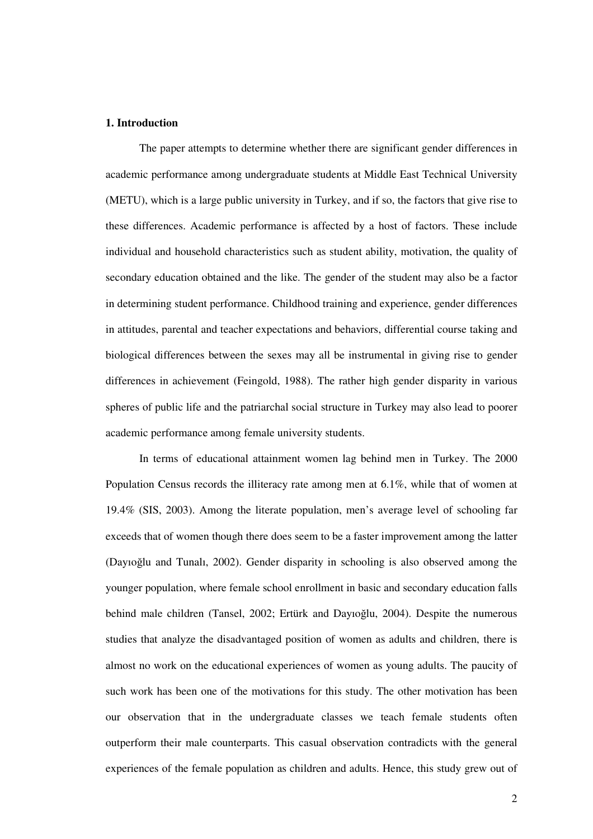#### **1. Introduction**

The paper attempts to determine whether there are significant gender differences in academic performance among undergraduate students at Middle East Technical University (METU), which is a large public university in Turkey, and if so, the factors that give rise to these differences. Academic performance is affected by a host of factors. These include individual and household characteristics such as student ability, motivation, the quality of secondary education obtained and the like. The gender of the student may also be a factor in determining student performance. Childhood training and experience, gender differences in attitudes, parental and teacher expectations and behaviors, differential course taking and biological differences between the sexes may all be instrumental in giving rise to gender differences in achievement (Feingold, 1988). The rather high gender disparity in various spheres of public life and the patriarchal social structure in Turkey may also lead to poorer academic performance among female university students.

In terms of educational attainment women lag behind men in Turkey. The 2000 Population Census records the illiteracy rate among men at 6.1%, while that of women at 19.4% (SIS, 2003). Among the literate population, men's average level of schooling far exceeds that of women though there does seem to be a faster improvement among the latter (Davioğlu and Tunali, 2002). Gender disparity in schooling is also observed among the younger population, where female school enrollment in basic and secondary education falls behind male children (Tansel, 2002; Ertürk and Dayıoğlu, 2004). Despite the numerous studies that analyze the disadvantaged position of women as adults and children, there is almost no work on the educational experiences of women as young adults. The paucity of such work has been one of the motivations for this study. The other motivation has been our observation that in the undergraduate classes we teach female students often outperform their male counterparts. This casual observation contradicts with the general experiences of the female population as children and adults. Hence, this study grew out of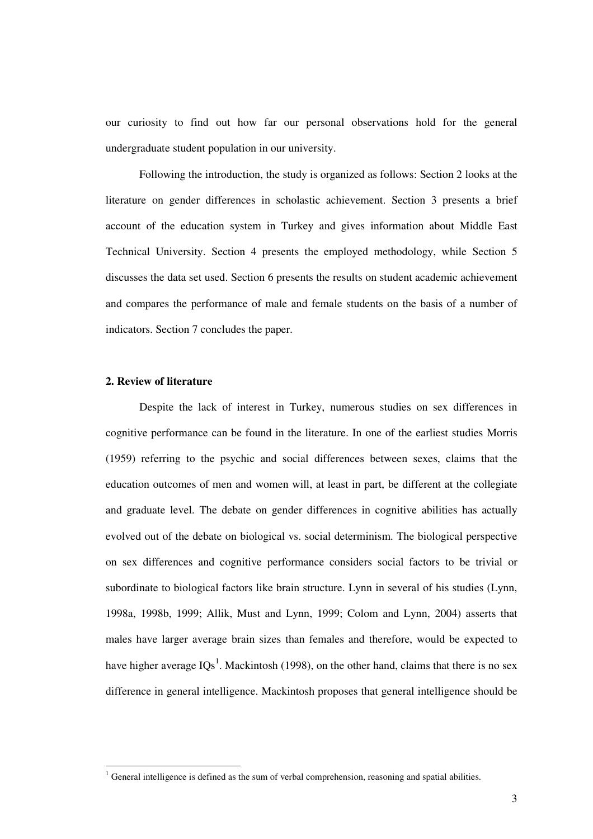our curiosity to find out how far our personal observations hold for the general undergraduate student population in our university.

Following the introduction, the study is organized as follows: Section 2 looks at the literature on gender differences in scholastic achievement. Section 3 presents a brief account of the education system in Turkey and gives information about Middle East Technical University. Section 4 presents the employed methodology, while Section 5 discusses the data set used. Section 6 presents the results on student academic achievement and compares the performance of male and female students on the basis of a number of indicators. Section 7 concludes the paper.

#### **2. Review of literature**

Despite the lack of interest in Turkey, numerous studies on sex differences in cognitive performance can be found in the literature. In one of the earliest studies Morris (1959) referring to the psychic and social differences between sexes, claims that the education outcomes of men and women will, at least in part, be different at the collegiate and graduate level. The debate on gender differences in cognitive abilities has actually evolved out of the debate on biological vs. social determinism. The biological perspective on sex differences and cognitive performance considers social factors to be trivial or subordinate to biological factors like brain structure. Lynn in several of his studies (Lynn, 1998a, 1998b, 1999; Allik, Must and Lynn, 1999; Colom and Lynn, 2004) asserts that males have larger average brain sizes than females and therefore, would be expected to have higher average  $IQs^1$ . Mackintosh (1998), on the other hand, claims that there is no sex difference in general intelligence. Mackintosh proposes that general intelligence should be

 $<sup>1</sup>$  General intelligence is defined as the sum of verbal comprehension, reasoning and spatial abilities.</sup>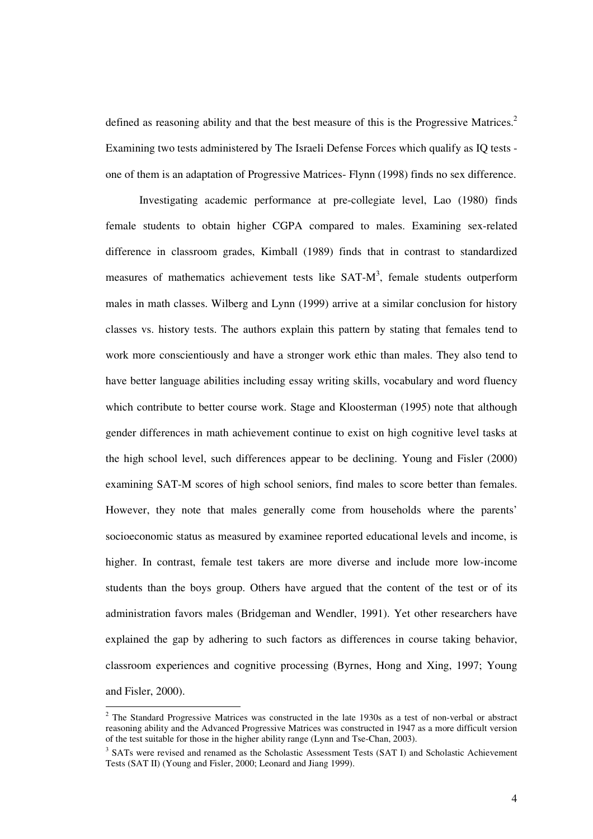defined as reasoning ability and that the best measure of this is the Progressive Matrices.<sup>2</sup> Examining two tests administered by The Israeli Defense Forces which qualify as IQ tests one of them is an adaptation of Progressive Matrices- Flynn (1998) finds no sex difference.

Investigating academic performance at pre-collegiate level, Lao (1980) finds female students to obtain higher CGPA compared to males. Examining sex-related difference in classroom grades, Kimball (1989) finds that in contrast to standardized measures of mathematics achievement tests like SAT-M<sup>3</sup>, female students outperform males in math classes. Wilberg and Lynn (1999) arrive at a similar conclusion for history classes vs. history tests. The authors explain this pattern by stating that females tend to work more conscientiously and have a stronger work ethic than males. They also tend to have better language abilities including essay writing skills, vocabulary and word fluency which contribute to better course work. Stage and Kloosterman (1995) note that although gender differences in math achievement continue to exist on high cognitive level tasks at the high school level, such differences appear to be declining. Young and Fisler (2000) examining SAT-M scores of high school seniors, find males to score better than females. However, they note that males generally come from households where the parents' socioeconomic status as measured by examinee reported educational levels and income, is higher. In contrast, female test takers are more diverse and include more low-income students than the boys group. Others have argued that the content of the test or of its administration favors males (Bridgeman and Wendler, 1991). Yet other researchers have explained the gap by adhering to such factors as differences in course taking behavior, classroom experiences and cognitive processing (Byrnes, Hong and Xing, 1997; Young and Fisler, 2000).

 $2$  The Standard Progressive Matrices was constructed in the late 1930s as a test of non-verbal or abstract reasoning ability and the Advanced Progressive Matrices was constructed in 1947 as a more difficult version of the test suitable for those in the higher ability range (Lynn and Tse-Chan, 2003).

<sup>&</sup>lt;sup>3</sup> SATs were revised and renamed as the Scholastic Assessment Tests (SAT I) and Scholastic Achievement Tests (SAT II) (Young and Fisler, 2000; Leonard and Jiang 1999).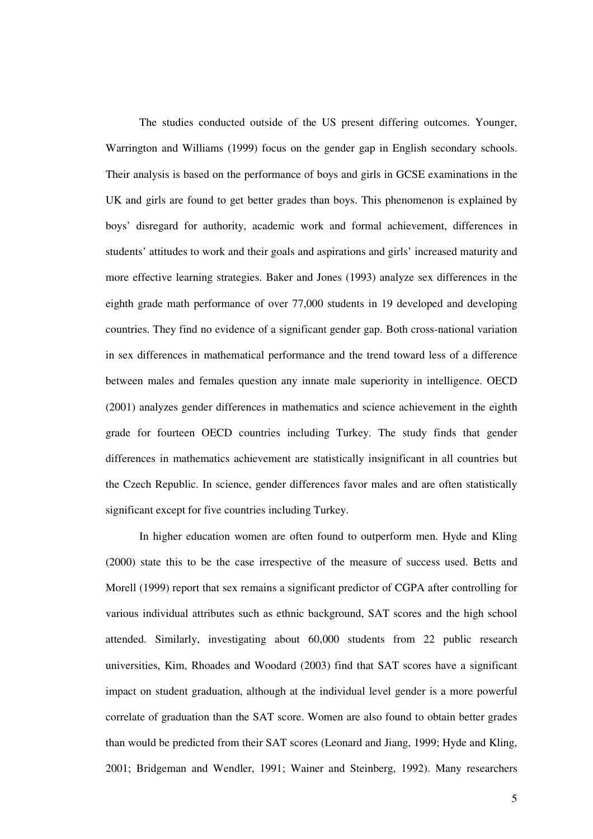The studies conducted outside of the US present differing outcomes. Younger, Warrington and Williams (1999) focus on the gender gap in English secondary schools. Their analysis is based on the performance of boys and girls in GCSE examinations in the UK and girls are found to get better grades than boys. This phenomenon is explained by boys' disregard for authority, academic work and formal achievement, differences in students' attitudes to work and their goals and aspirations and girls' increased maturity and more effective learning strategies. Baker and Jones (1993) analyze sex differences in the eighth grade math performance of over 77,000 students in 19 developed and developing countries. They find no evidence of a significant gender gap. Both cross-national variation in sex differences in mathematical performance and the trend toward less of a difference between males and females question any innate male superiority in intelligence. OECD (2001) analyzes gender differences in mathematics and science achievement in the eighth grade for fourteen OECD countries including Turkey. The study finds that gender differences in mathematics achievement are statistically insignificant in all countries but the Czech Republic. In science, gender differences favor males and are often statistically significant except for five countries including Turkey.

In higher education women are often found to outperform men. Hyde and Kling (2000) state this to be the case irrespective of the measure of success used. Betts and Morell (1999) report that sex remains a significant predictor of CGPA after controlling for various individual attributes such as ethnic background, SAT scores and the high school attended. Similarly, investigating about 60,000 students from 22 public research universities, Kim, Rhoades and Woodard (2003) find that SAT scores have a significant impact on student graduation, although at the individual level gender is a more powerful correlate of graduation than the SAT score. Women are also found to obtain better grades than would be predicted from their SAT scores (Leonard and Jiang, 1999; Hyde and Kling, 2001; Bridgeman and Wendler, 1991; Wainer and Steinberg, 1992). Many researchers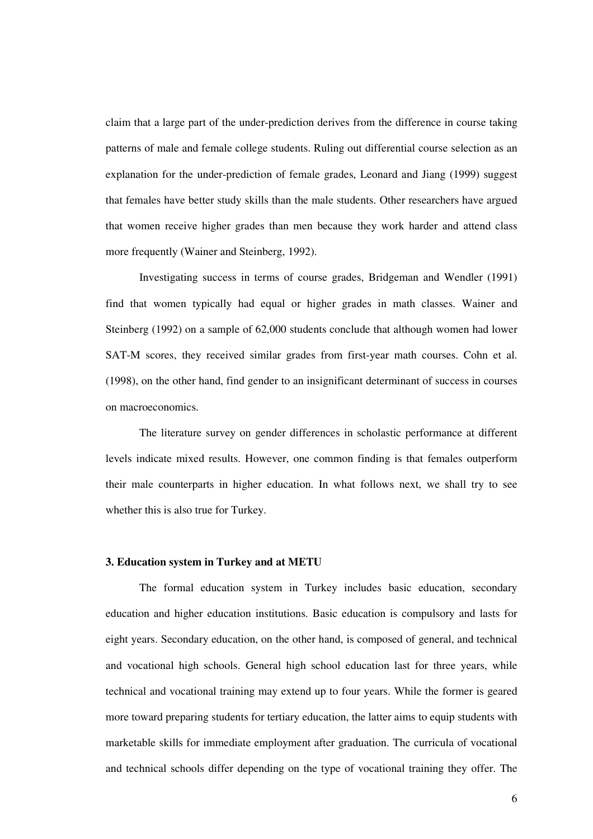claim that a large part of the under-prediction derives from the difference in course taking patterns of male and female college students. Ruling out differential course selection as an explanation for the under-prediction of female grades, Leonard and Jiang (1999) suggest that females have better study skills than the male students. Other researchers have argued that women receive higher grades than men because they work harder and attend class more frequently (Wainer and Steinberg, 1992).

Investigating success in terms of course grades, Bridgeman and Wendler (1991) find that women typically had equal or higher grades in math classes. Wainer and Steinberg (1992) on a sample of 62,000 students conclude that although women had lower SAT-M scores, they received similar grades from first-year math courses. Cohn et al. (1998), on the other hand, find gender to an insignificant determinant of success in courses on macroeconomics.

The literature survey on gender differences in scholastic performance at different levels indicate mixed results. However, one common finding is that females outperform their male counterparts in higher education. In what follows next, we shall try to see whether this is also true for Turkey.

#### **3. Education system in Turkey and at METU**

The formal education system in Turkey includes basic education, secondary education and higher education institutions. Basic education is compulsory and lasts for eight years. Secondary education, on the other hand, is composed of general, and technical and vocational high schools. General high school education last for three years, while technical and vocational training may extend up to four years. While the former is geared more toward preparing students for tertiary education, the latter aims to equip students with marketable skills for immediate employment after graduation. The curricula of vocational and technical schools differ depending on the type of vocational training they offer. The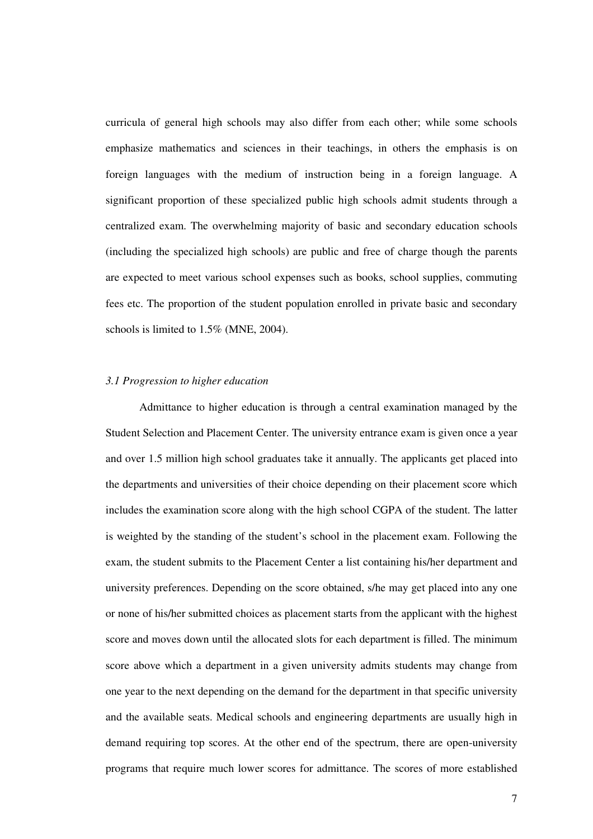curricula of general high schools may also differ from each other; while some schools emphasize mathematics and sciences in their teachings, in others the emphasis is on foreign languages with the medium of instruction being in a foreign language. A significant proportion of these specialized public high schools admit students through a centralized exam. The overwhelming majority of basic and secondary education schools (including the specialized high schools) are public and free of charge though the parents are expected to meet various school expenses such as books, school supplies, commuting fees etc. The proportion of the student population enrolled in private basic and secondary schools is limited to 1.5% (MNE, 2004).

#### *3.1 Progression to higher education*

Admittance to higher education is through a central examination managed by the Student Selection and Placement Center. The university entrance exam is given once a year and over 1.5 million high school graduates take it annually. The applicants get placed into the departments and universities of their choice depending on their placement score which includes the examination score along with the high school CGPA of the student. The latter is weighted by the standing of the student's school in the placement exam. Following the exam, the student submits to the Placement Center a list containing his/her department and university preferences. Depending on the score obtained, s/he may get placed into any one or none of his/her submitted choices as placement starts from the applicant with the highest score and moves down until the allocated slots for each department is filled. The minimum score above which a department in a given university admits students may change from one year to the next depending on the demand for the department in that specific university and the available seats. Medical schools and engineering departments are usually high in demand requiring top scores. At the other end of the spectrum, there are open-university programs that require much lower scores for admittance. The scores of more established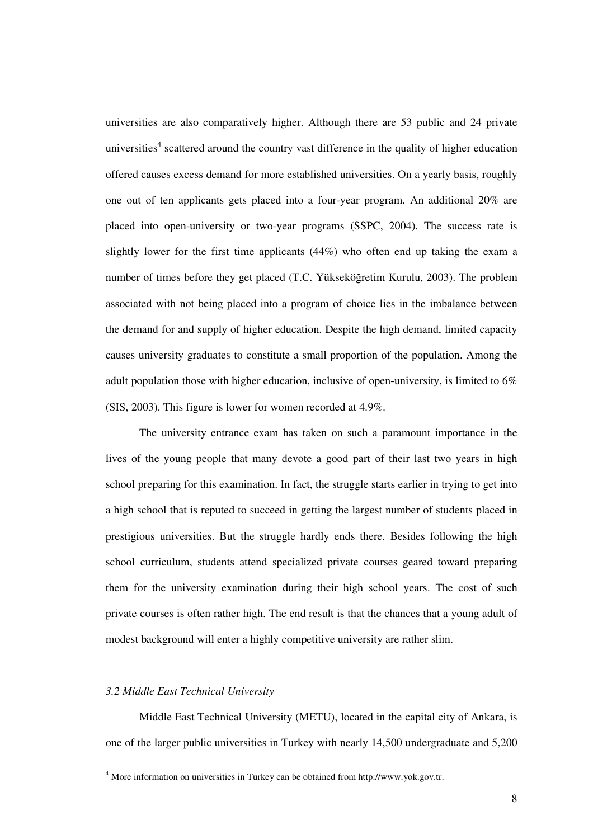universities are also comparatively higher. Although there are 53 public and 24 private universities<sup>4</sup> scattered around the country vast difference in the quality of higher education offered causes excess demand for more established universities. On a yearly basis, roughly one out of ten applicants gets placed into a four-year program. An additional 20% are placed into open-university or two-year programs (SSPC, 2004). The success rate is slightly lower for the first time applicants (44%) who often end up taking the exam a number of times before they get placed (T.C. Yükseköğretim Kurulu, 2003). The problem associated with not being placed into a program of choice lies in the imbalance between the demand for and supply of higher education. Despite the high demand, limited capacity causes university graduates to constitute a small proportion of the population. Among the adult population those with higher education, inclusive of open-university, is limited to 6% (SIS, 2003). This figure is lower for women recorded at 4.9%.

The university entrance exam has taken on such a paramount importance in the lives of the young people that many devote a good part of their last two years in high school preparing for this examination. In fact, the struggle starts earlier in trying to get into a high school that is reputed to succeed in getting the largest number of students placed in prestigious universities. But the struggle hardly ends there. Besides following the high school curriculum, students attend specialized private courses geared toward preparing them for the university examination during their high school years. The cost of such private courses is often rather high. The end result is that the chances that a young adult of modest background will enter a highly competitive university are rather slim.

#### *3.2 Middle East Technical University*

Middle East Technical University (METU), located in the capital city of Ankara, is one of the larger public universities in Turkey with nearly 14,500 undergraduate and 5,200

<sup>4</sup> More information on universities in Turkey can be obtained from http://www.yok.gov.tr.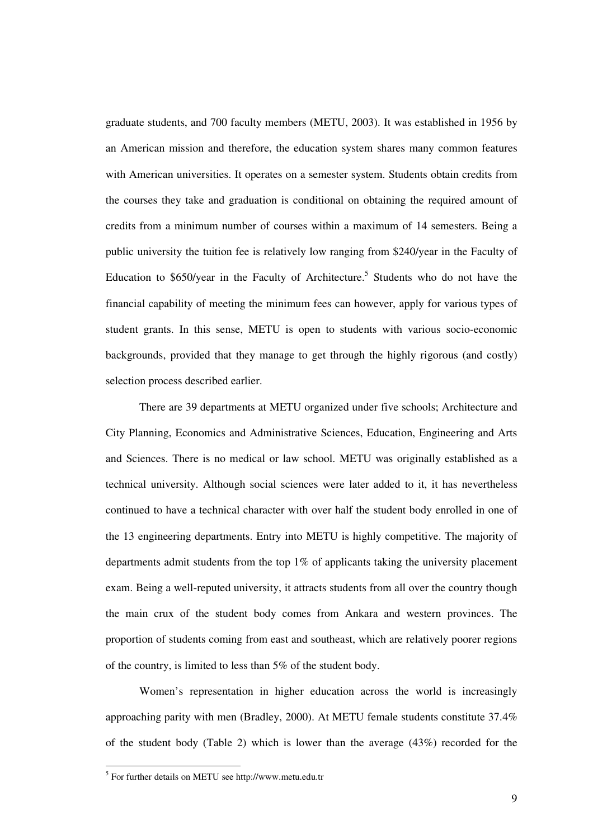graduate students, and 700 faculty members (METU, 2003). It was established in 1956 by an American mission and therefore, the education system shares many common features with American universities. It operates on a semester system. Students obtain credits from the courses they take and graduation is conditional on obtaining the required amount of credits from a minimum number of courses within a maximum of 14 semesters. Being a public university the tuition fee is relatively low ranging from \$240/year in the Faculty of Education to \$650/year in the Faculty of Architecture.<sup>5</sup> Students who do not have the financial capability of meeting the minimum fees can however, apply for various types of student grants. In this sense, METU is open to students with various socio-economic backgrounds, provided that they manage to get through the highly rigorous (and costly) selection process described earlier.

There are 39 departments at METU organized under five schools; Architecture and City Planning, Economics and Administrative Sciences, Education, Engineering and Arts and Sciences. There is no medical or law school. METU was originally established as a technical university. Although social sciences were later added to it, it has nevertheless continued to have a technical character with over half the student body enrolled in one of the 13 engineering departments. Entry into METU is highly competitive. The majority of departments admit students from the top 1% of applicants taking the university placement exam. Being a well-reputed university, it attracts students from all over the country though the main crux of the student body comes from Ankara and western provinces. The proportion of students coming from east and southeast, which are relatively poorer regions of the country, is limited to less than 5% of the student body.

Women's representation in higher education across the world is increasingly approaching parity with men (Bradley, 2000). At METU female students constitute 37.4% of the student body (Table 2) which is lower than the average (43%) recorded for the

<sup>&</sup>lt;sup>5</sup> For further details on METU see http://www.metu.edu.tr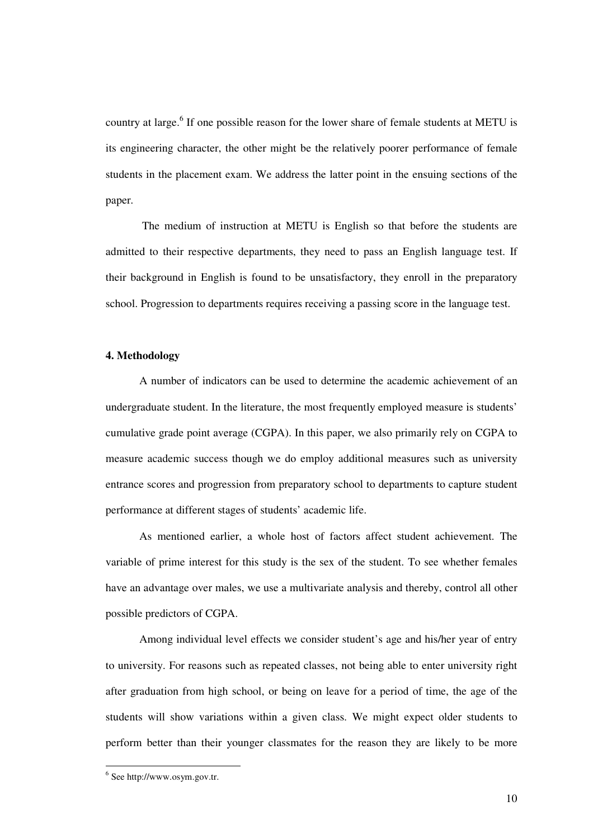country at large.<sup>6</sup> If one possible reason for the lower share of female students at METU is its engineering character, the other might be the relatively poorer performance of female students in the placement exam. We address the latter point in the ensuing sections of the paper.

The medium of instruction at METU is English so that before the students are admitted to their respective departments, they need to pass an English language test. If their background in English is found to be unsatisfactory, they enroll in the preparatory school. Progression to departments requires receiving a passing score in the language test.

#### **4. Methodology**

A number of indicators can be used to determine the academic achievement of an undergraduate student. In the literature, the most frequently employed measure is students' cumulative grade point average (CGPA). In this paper, we also primarily rely on CGPA to measure academic success though we do employ additional measures such as university entrance scores and progression from preparatory school to departments to capture student performance at different stages of students' academic life.

As mentioned earlier, a whole host of factors affect student achievement. The variable of prime interest for this study is the sex of the student. To see whether females have an advantage over males, we use a multivariate analysis and thereby, control all other possible predictors of CGPA.

Among individual level effects we consider student's age and his/her year of entry to university. For reasons such as repeated classes, not being able to enter university right after graduation from high school, or being on leave for a period of time, the age of the students will show variations within a given class. We might expect older students to perform better than their younger classmates for the reason they are likely to be more

<sup>6</sup> See http://www.osym.gov.tr.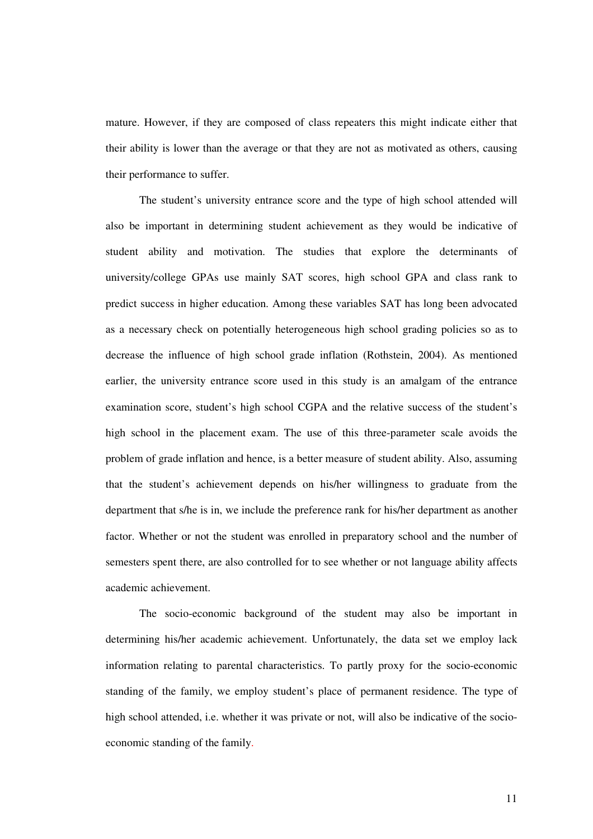mature. However, if they are composed of class repeaters this might indicate either that their ability is lower than the average or that they are not as motivated as others, causing their performance to suffer.

The student's university entrance score and the type of high school attended will also be important in determining student achievement as they would be indicative of student ability and motivation. The studies that explore the determinants of university/college GPAs use mainly SAT scores, high school GPA and class rank to predict success in higher education. Among these variables SAT has long been advocated as a necessary check on potentially heterogeneous high school grading policies so as to decrease the influence of high school grade inflation (Rothstein, 2004). As mentioned earlier, the university entrance score used in this study is an amalgam of the entrance examination score, student's high school CGPA and the relative success of the student's high school in the placement exam. The use of this three-parameter scale avoids the problem of grade inflation and hence, is a better measure of student ability. Also, assuming that the student's achievement depends on his/her willingness to graduate from the department that s/he is in, we include the preference rank for his/her department as another factor. Whether or not the student was enrolled in preparatory school and the number of semesters spent there, are also controlled for to see whether or not language ability affects academic achievement.

The socio-economic background of the student may also be important in determining his/her academic achievement. Unfortunately, the data set we employ lack information relating to parental characteristics. To partly proxy for the socio-economic standing of the family, we employ student's place of permanent residence. The type of high school attended, i.e. whether it was private or not, will also be indicative of the socioeconomic standing of the family.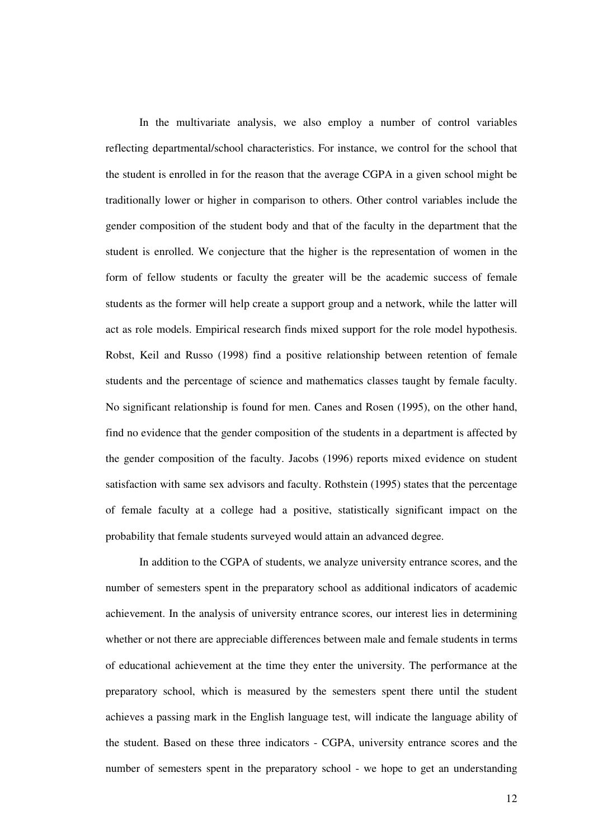In the multivariate analysis, we also employ a number of control variables reflecting departmental/school characteristics. For instance, we control for the school that the student is enrolled in for the reason that the average CGPA in a given school might be traditionally lower or higher in comparison to others. Other control variables include the gender composition of the student body and that of the faculty in the department that the student is enrolled. We conjecture that the higher is the representation of women in the form of fellow students or faculty the greater will be the academic success of female students as the former will help create a support group and a network, while the latter will act as role models. Empirical research finds mixed support for the role model hypothesis. Robst, Keil and Russo (1998) find a positive relationship between retention of female students and the percentage of science and mathematics classes taught by female faculty. No significant relationship is found for men. Canes and Rosen (1995), on the other hand, find no evidence that the gender composition of the students in a department is affected by the gender composition of the faculty. Jacobs (1996) reports mixed evidence on student satisfaction with same sex advisors and faculty. Rothstein (1995) states that the percentage of female faculty at a college had a positive, statistically significant impact on the probability that female students surveyed would attain an advanced degree.

In addition to the CGPA of students, we analyze university entrance scores, and the number of semesters spent in the preparatory school as additional indicators of academic achievement. In the analysis of university entrance scores, our interest lies in determining whether or not there are appreciable differences between male and female students in terms of educational achievement at the time they enter the university. The performance at the preparatory school, which is measured by the semesters spent there until the student achieves a passing mark in the English language test, will indicate the language ability of the student. Based on these three indicators - CGPA, university entrance scores and the number of semesters spent in the preparatory school - we hope to get an understanding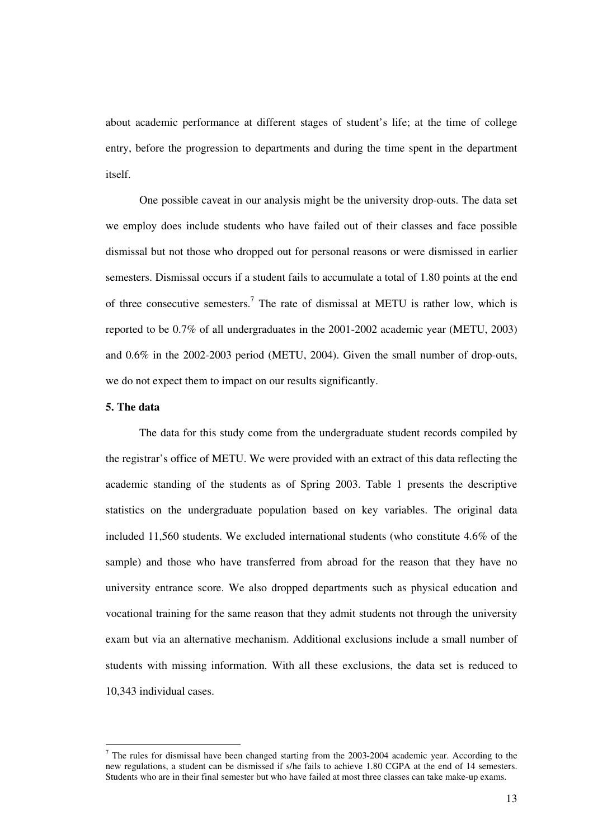about academic performance at different stages of student's life; at the time of college entry, before the progression to departments and during the time spent in the department itself.

One possible caveat in our analysis might be the university drop-outs. The data set we employ does include students who have failed out of their classes and face possible dismissal but not those who dropped out for personal reasons or were dismissed in earlier semesters. Dismissal occurs if a student fails to accumulate a total of 1.80 points at the end of three consecutive semesters.<sup>7</sup> The rate of dismissal at METU is rather low, which is reported to be 0.7% of all undergraduates in the 2001-2002 academic year (METU, 2003) and 0.6% in the 2002-2003 period (METU, 2004). Given the small number of drop-outs, we do not expect them to impact on our results significantly.

#### **5. The data**

The data for this study come from the undergraduate student records compiled by the registrar's office of METU. We were provided with an extract of this data reflecting the academic standing of the students as of Spring 2003. Table 1 presents the descriptive statistics on the undergraduate population based on key variables. The original data included 11,560 students. We excluded international students (who constitute 4.6% of the sample) and those who have transferred from abroad for the reason that they have no university entrance score. We also dropped departments such as physical education and vocational training for the same reason that they admit students not through the university exam but via an alternative mechanism. Additional exclusions include a small number of students with missing information. With all these exclusions, the data set is reduced to 10,343 individual cases.

 $<sup>7</sup>$  The rules for dismissal have been changed starting from the 2003-2004 academic year. According to the</sup> new regulations, a student can be dismissed if s/he fails to achieve 1.80 CGPA at the end of 14 semesters. Students who are in their final semester but who have failed at most three classes can take make-up exams.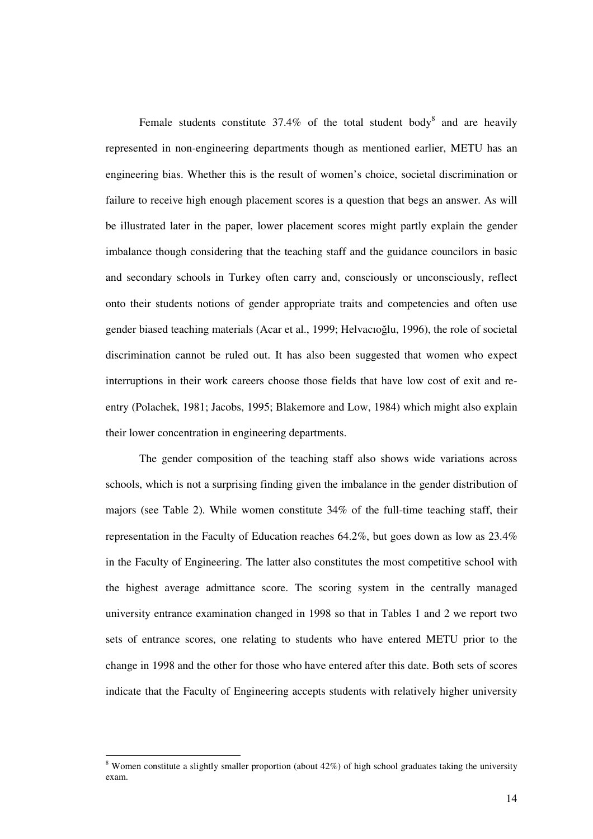Female students constitute 37.4% of the total student body<sup>8</sup> and are heavily represented in non-engineering departments though as mentioned earlier, METU has an engineering bias. Whether this is the result of women's choice, societal discrimination or failure to receive high enough placement scores is a question that begs an answer. As will be illustrated later in the paper, lower placement scores might partly explain the gender imbalance though considering that the teaching staff and the guidance councilors in basic and secondary schools in Turkey often carry and, consciously or unconsciously, reflect onto their students notions of gender appropriate traits and competencies and often use gender biased teaching materials (Acar et al., 1999; Helvacioglu, 1996), the role of societal discrimination cannot be ruled out. It has also been suggested that women who expect interruptions in their work careers choose those fields that have low cost of exit and reentry (Polachek, 1981; Jacobs, 1995; Blakemore and Low, 1984) which might also explain their lower concentration in engineering departments.

The gender composition of the teaching staff also shows wide variations across schools, which is not a surprising finding given the imbalance in the gender distribution of majors (see Table 2). While women constitute 34% of the full-time teaching staff, their representation in the Faculty of Education reaches 64.2%, but goes down as low as 23.4% in the Faculty of Engineering. The latter also constitutes the most competitive school with the highest average admittance score. The scoring system in the centrally managed university entrance examination changed in 1998 so that in Tables 1 and 2 we report two sets of entrance scores, one relating to students who have entered METU prior to the change in 1998 and the other for those who have entered after this date. Both sets of scores indicate that the Faculty of Engineering accepts students with relatively higher university

 $8$  Women constitute a slightly smaller proportion (about 42%) of high school graduates taking the university exam.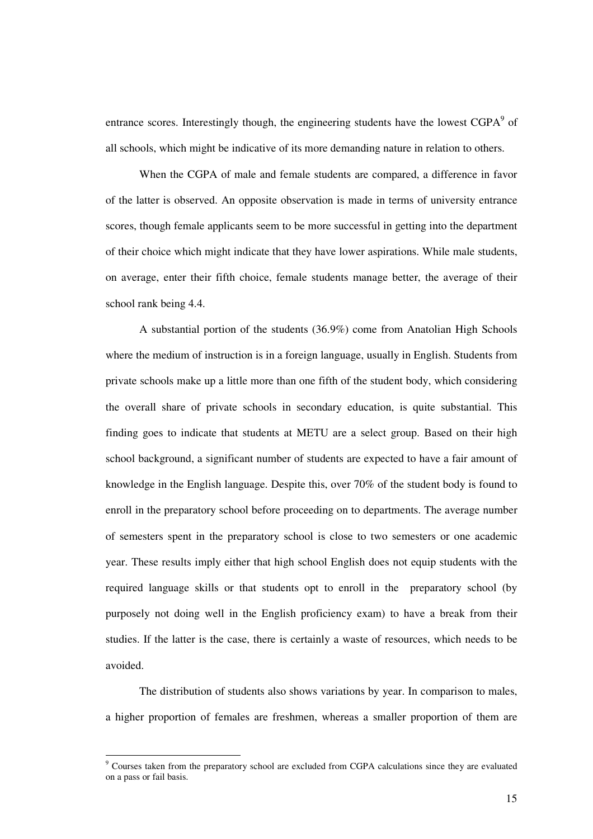entrance scores. Interestingly though, the engineering students have the lowest  $CGPA<sup>9</sup>$  of all schools, which might be indicative of its more demanding nature in relation to others.

When the CGPA of male and female students are compared, a difference in favor of the latter is observed. An opposite observation is made in terms of university entrance scores, though female applicants seem to be more successful in getting into the department of their choice which might indicate that they have lower aspirations. While male students, on average, enter their fifth choice, female students manage better, the average of their school rank being 4.4.

A substantial portion of the students (36.9%) come from Anatolian High Schools where the medium of instruction is in a foreign language, usually in English. Students from private schools make up a little more than one fifth of the student body, which considering the overall share of private schools in secondary education, is quite substantial. This finding goes to indicate that students at METU are a select group. Based on their high school background, a significant number of students are expected to have a fair amount of knowledge in the English language. Despite this, over 70% of the student body is found to enroll in the preparatory school before proceeding on to departments. The average number of semesters spent in the preparatory school is close to two semesters or one academic year. These results imply either that high school English does not equip students with the required language skills or that students opt to enroll in the preparatory school (by purposely not doing well in the English proficiency exam) to have a break from their studies. If the latter is the case, there is certainly a waste of resources, which needs to be avoided.

The distribution of students also shows variations by year. In comparison to males, a higher proportion of females are freshmen, whereas a smaller proportion of them are

<sup>&</sup>lt;sup>9</sup> Courses taken from the preparatory school are excluded from CGPA calculations since they are evaluated on a pass or fail basis.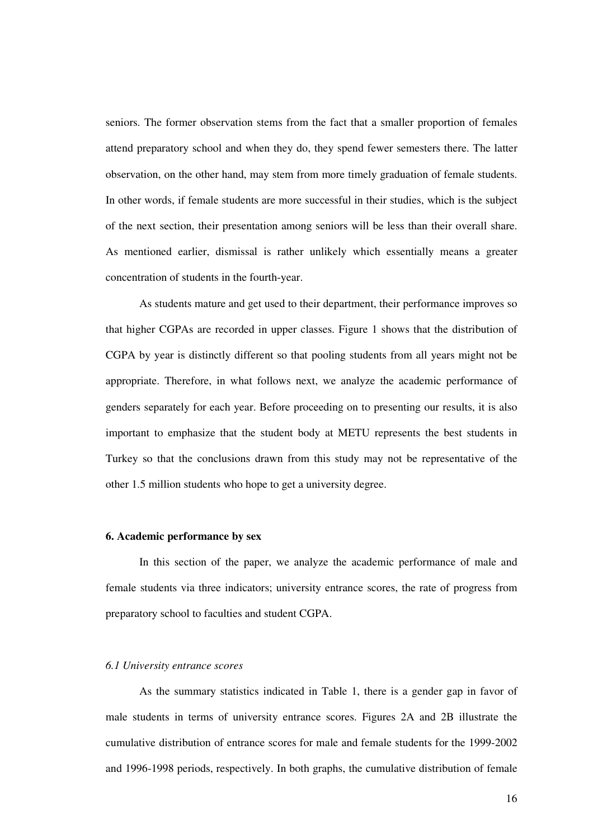seniors. The former observation stems from the fact that a smaller proportion of females attend preparatory school and when they do, they spend fewer semesters there. The latter observation, on the other hand, may stem from more timely graduation of female students. In other words, if female students are more successful in their studies, which is the subject of the next section, their presentation among seniors will be less than their overall share. As mentioned earlier, dismissal is rather unlikely which essentially means a greater concentration of students in the fourth-year.

As students mature and get used to their department, their performance improves so that higher CGPAs are recorded in upper classes. Figure 1 shows that the distribution of CGPA by year is distinctly different so that pooling students from all years might not be appropriate. Therefore, in what follows next, we analyze the academic performance of genders separately for each year. Before proceeding on to presenting our results, it is also important to emphasize that the student body at METU represents the best students in Turkey so that the conclusions drawn from this study may not be representative of the other 1.5 million students who hope to get a university degree.

#### **6. Academic performance by sex**

In this section of the paper, we analyze the academic performance of male and female students via three indicators; university entrance scores, the rate of progress from preparatory school to faculties and student CGPA.

#### *6.1 University entrance scores*

As the summary statistics indicated in Table 1, there is a gender gap in favor of male students in terms of university entrance scores. Figures 2A and 2B illustrate the cumulative distribution of entrance scores for male and female students for the 1999-2002 and 1996-1998 periods, respectively. In both graphs, the cumulative distribution of female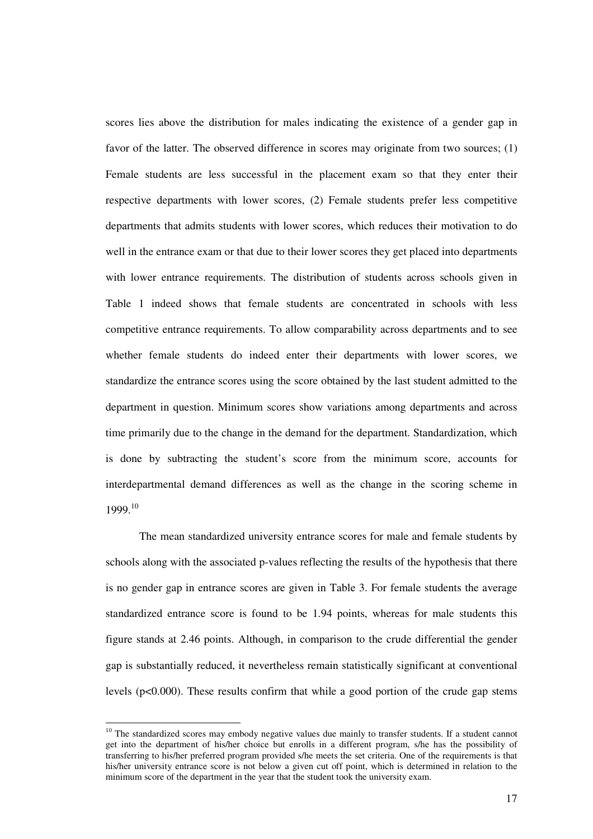scores lies above the distribution for males indicating the existence of a gender gap in favor of the latter. The observed difference in scores may originate from two sources; (1) Female students are less successful in the placement exam so that they enter their respective departments with lower scores, (2) Female students prefer less competitive departments that admits students with lower scores, which reduces their motivation to do well in the entrance exam or that due to their lower scores they get placed into departments with lower entrance requirements. The distribution of students across schools given in Table 1 indeed shows that female students are concentrated in schools with less competitive entrance requirements. To allow comparability across departments and to see whether female students do indeed enter their departments with lower scores, we standardize the entrance scores using the score obtained by the last student admitted to the department in question. Minimum scores show variations among departments and across time primarily due to the change in the demand for the department. Standardization, which is done by subtracting the student's score from the minimum score, accounts for interdepartmental demand differences as well as the change in the scoring scheme in 1999. 10

The mean standardized university entrance scores for male and female students by schools along with the associated p-values reflecting the results of the hypothesis that there is no gender gap in entrance scores are given in Table 3. For female students the average standardized entrance score is found to be 1.94 points, whereas for male students this figure stands at 2.46 points. Although, in comparison to the crude differential the gender gap is substantially reduced, it nevertheless remain statistically significant at conventional levels (p<0.000). These results confirm that while a good portion of the crude gap stems

<sup>&</sup>lt;sup>10</sup> The standardized scores may embody negative values due mainly to transfer students. If a student cannot get into the department of his/her choice but enrolls in a different program, s/he has the possibility of transferring to his/her preferred program provided s/he meets the set criteria. One of the requirements is that his/her university entrance score is not below a given cut off point, which is determined in relation to the minimum score of the department in the year that the student took the university exam.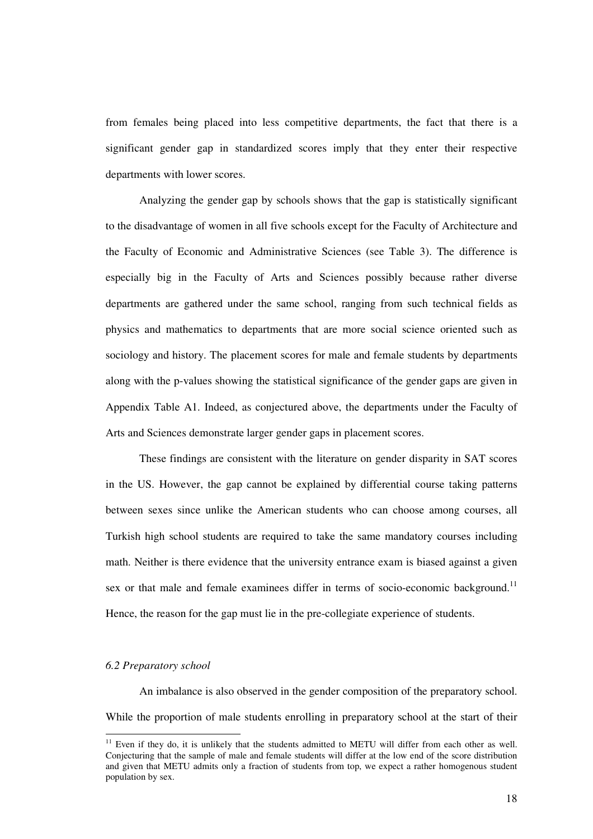from females being placed into less competitive departments, the fact that there is a significant gender gap in standardized scores imply that they enter their respective departments with lower scores.

Analyzing the gender gap by schools shows that the gap is statistically significant to the disadvantage of women in all five schools except for the Faculty of Architecture and the Faculty of Economic and Administrative Sciences (see Table 3). The difference is especially big in the Faculty of Arts and Sciences possibly because rather diverse departments are gathered under the same school, ranging from such technical fields as physics and mathematics to departments that are more social science oriented such as sociology and history. The placement scores for male and female students by departments along with the p-values showing the statistical significance of the gender gaps are given in Appendix Table A1. Indeed, as conjectured above, the departments under the Faculty of Arts and Sciences demonstrate larger gender gaps in placement scores.

These findings are consistent with the literature on gender disparity in SAT scores in the US. However, the gap cannot be explained by differential course taking patterns between sexes since unlike the American students who can choose among courses, all Turkish high school students are required to take the same mandatory courses including math. Neither is there evidence that the university entrance exam is biased against a given sex or that male and female examinees differ in terms of socio-economic background.<sup>11</sup> Hence, the reason for the gap must lie in the pre-collegiate experience of students.

#### *6.2 Preparatory school*

An imbalance is also observed in the gender composition of the preparatory school. While the proportion of male students enrolling in preparatory school at the start of their

<sup>&</sup>lt;sup>11</sup> Even if they do, it is unlikely that the students admitted to METU will differ from each other as well. Conjecturing that the sample of male and female students will differ at the low end of the score distribution and given that METU admits only a fraction of students from top, we expect a rather homogenous student population by sex.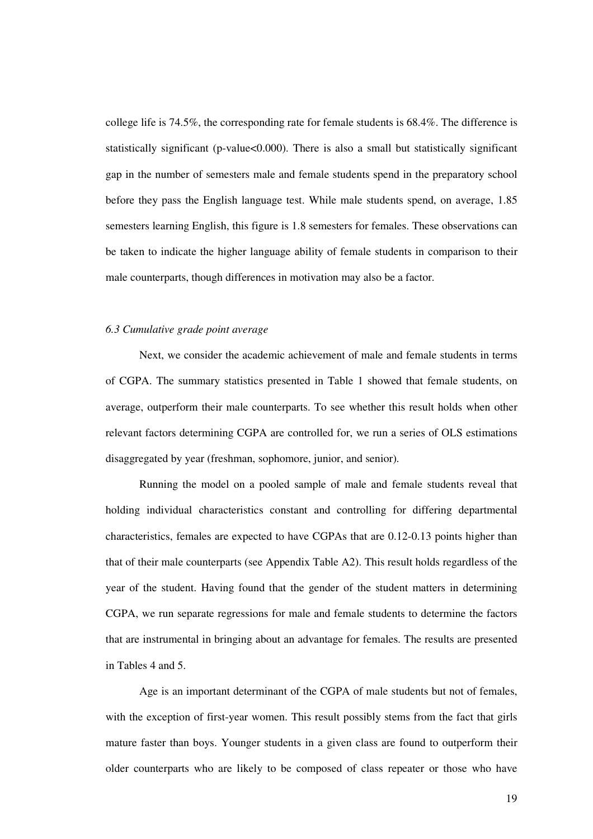college life is 74.5%, the corresponding rate for female students is 68.4%. The difference is statistically significant (p-value<0.000). There is also a small but statistically significant gap in the number of semesters male and female students spend in the preparatory school before they pass the English language test. While male students spend, on average, 1.85 semesters learning English, this figure is 1.8 semesters for females. These observations can be taken to indicate the higher language ability of female students in comparison to their male counterparts, though differences in motivation may also be a factor.

#### *6.3 Cumulative grade point average*

Next, we consider the academic achievement of male and female students in terms of CGPA. The summary statistics presented in Table 1 showed that female students, on average, outperform their male counterparts. To see whether this result holds when other relevant factors determining CGPA are controlled for, we run a series of OLS estimations disaggregated by year (freshman, sophomore, junior, and senior).

Running the model on a pooled sample of male and female students reveal that holding individual characteristics constant and controlling for differing departmental characteristics, females are expected to have CGPAs that are 0.12-0.13 points higher than that of their male counterparts (see Appendix Table A2). This result holds regardless of the year of the student. Having found that the gender of the student matters in determining CGPA, we run separate regressions for male and female students to determine the factors that are instrumental in bringing about an advantage for females. The results are presented in Tables 4 and 5.

Age is an important determinant of the CGPA of male students but not of females, with the exception of first-year women. This result possibly stems from the fact that girls mature faster than boys. Younger students in a given class are found to outperform their older counterparts who are likely to be composed of class repeater or those who have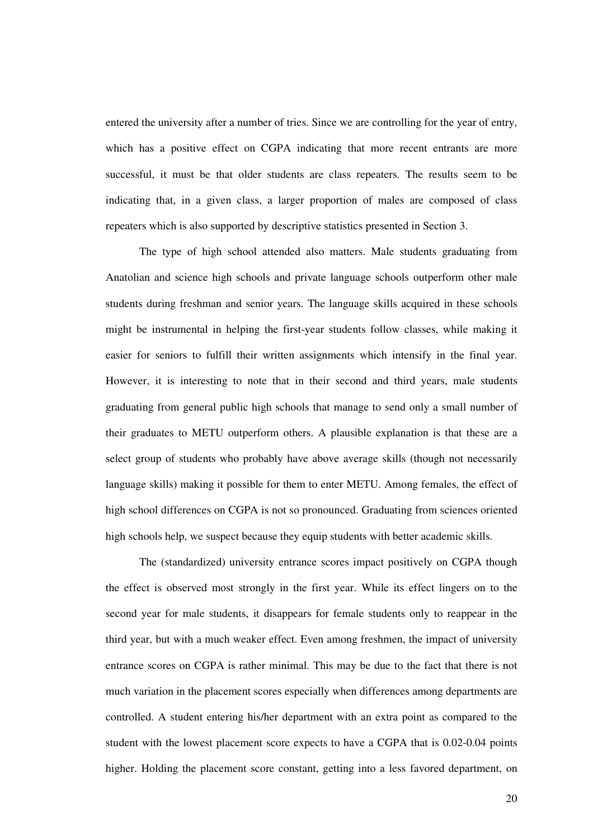entered the university after a number of tries. Since we are controlling for the year of entry, which has a positive effect on CGPA indicating that more recent entrants are more successful, it must be that older students are class repeaters. The results seem to be indicating that, in a given class, a larger proportion of males are composed of class repeaters which is also supported by descriptive statistics presented in Section 3.

The type of high school attended also matters. Male students graduating from Anatolian and science high schools and private language schools outperform other male students during freshman and senior years. The language skills acquired in these schools might be instrumental in helping the first-year students follow classes, while making it easier for seniors to fulfill their written assignments which intensify in the final year. However, it is interesting to note that in their second and third years, male students graduating from general public high schools that manage to send only a small number of their graduates to METU outperform others. A plausible explanation is that these are a select group of students who probably have above average skills (though not necessarily language skills) making it possible for them to enter METU. Among females, the effect of high school differences on CGPA is not so pronounced. Graduating from sciences oriented high schools help, we suspect because they equip students with better academic skills.

The (standardized) university entrance scores impact positively on CGPA though the effect is observed most strongly in the first year. While its effect lingers on to the second year for male students, it disappears for female students only to reappear in the third year, but with a much weaker effect. Even among freshmen, the impact of university entrance scores on CGPA is rather minimal. This may be due to the fact that there is not much variation in the placement scores especially when differences among departments are controlled. A student entering his/her department with an extra point as compared to the student with the lowest placement score expects to have a CGPA that is 0.02-0.04 points higher. Holding the placement score constant, getting into a less favored department, on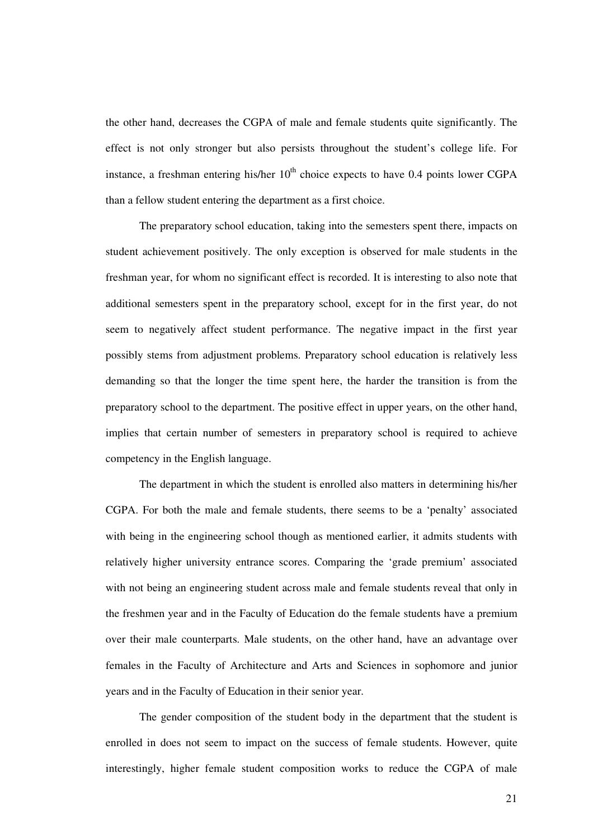the other hand, decreases the CGPA of male and female students quite significantly. The effect is not only stronger but also persists throughout the student's college life. For instance, a freshman entering his/her  $10<sup>th</sup>$  choice expects to have 0.4 points lower CGPA than a fellow student entering the department as a first choice.

The preparatory school education, taking into the semesters spent there, impacts on student achievement positively. The only exception is observed for male students in the freshman year, for whom no significant effect is recorded. It is interesting to also note that additional semesters spent in the preparatory school, except for in the first year, do not seem to negatively affect student performance. The negative impact in the first year possibly stems from adjustment problems. Preparatory school education is relatively less demanding so that the longer the time spent here, the harder the transition is from the preparatory school to the department. The positive effect in upper years, on the other hand, implies that certain number of semesters in preparatory school is required to achieve competency in the English language.

The department in which the student is enrolled also matters in determining his/her CGPA. For both the male and female students, there seems to be a 'penalty' associated with being in the engineering school though as mentioned earlier, it admits students with relatively higher university entrance scores. Comparing the 'grade premium' associated with not being an engineering student across male and female students reveal that only in the freshmen year and in the Faculty of Education do the female students have a premium over their male counterparts. Male students, on the other hand, have an advantage over females in the Faculty of Architecture and Arts and Sciences in sophomore and junior years and in the Faculty of Education in their senior year.

The gender composition of the student body in the department that the student is enrolled in does not seem to impact on the success of female students. However, quite interestingly, higher female student composition works to reduce the CGPA of male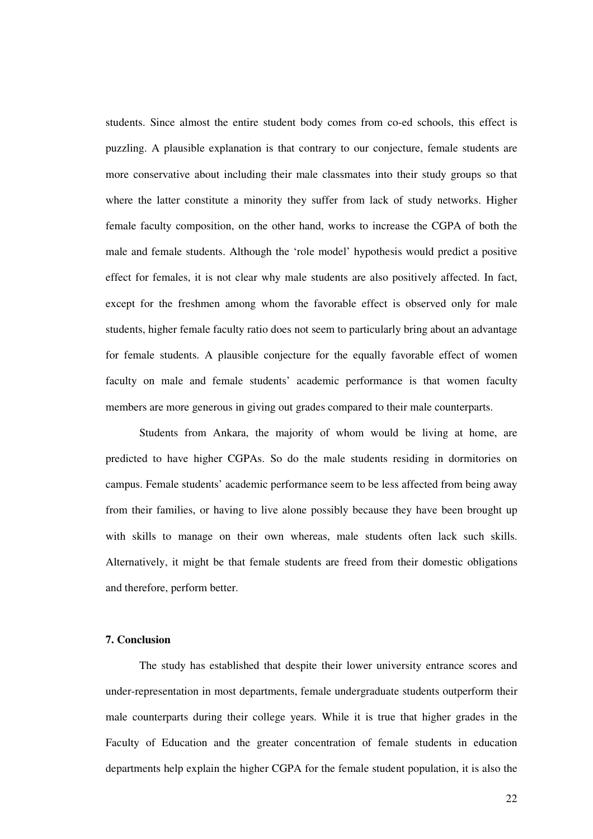students. Since almost the entire student body comes from co-ed schools, this effect is puzzling. A plausible explanation is that contrary to our conjecture, female students are more conservative about including their male classmates into their study groups so that where the latter constitute a minority they suffer from lack of study networks. Higher female faculty composition, on the other hand, works to increase the CGPA of both the male and female students. Although the 'role model' hypothesis would predict a positive effect for females, it is not clear why male students are also positively affected. In fact, except for the freshmen among whom the favorable effect is observed only for male students, higher female faculty ratio does not seem to particularly bring about an advantage for female students. A plausible conjecture for the equally favorable effect of women faculty on male and female students' academic performance is that women faculty members are more generous in giving out grades compared to their male counterparts.

Students from Ankara, the majority of whom would be living at home, are predicted to have higher CGPAs. So do the male students residing in dormitories on campus. Female students' academic performance seem to be less affected from being away from their families, or having to live alone possibly because they have been brought up with skills to manage on their own whereas, male students often lack such skills. Alternatively, it might be that female students are freed from their domestic obligations and therefore, perform better.

#### **7. Conclusion**

The study has established that despite their lower university entrance scores and under-representation in most departments, female undergraduate students outperform their male counterparts during their college years. While it is true that higher grades in the Faculty of Education and the greater concentration of female students in education departments help explain the higher CGPA for the female student population, it is also the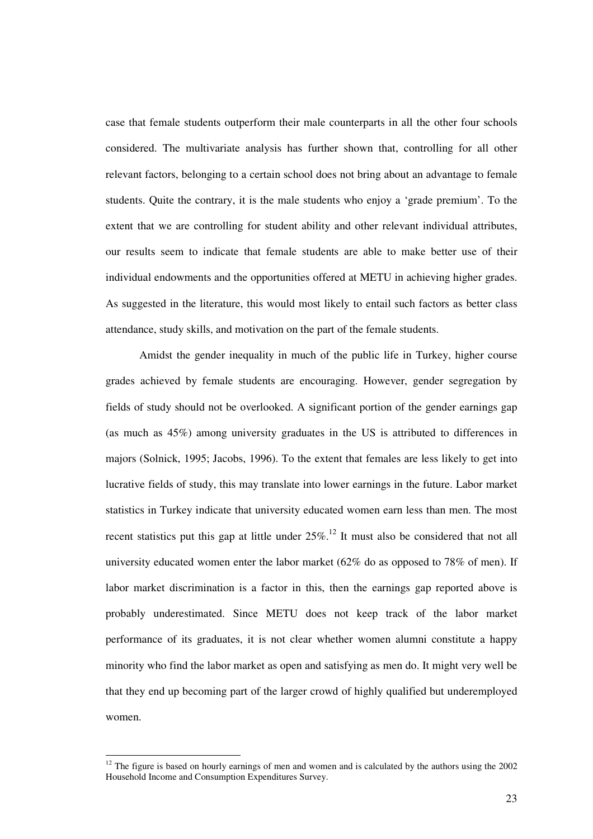case that female students outperform their male counterparts in all the other four schools considered. The multivariate analysis has further shown that, controlling for all other relevant factors, belonging to a certain school does not bring about an advantage to female students. Quite the contrary, it is the male students who enjoy a 'grade premium'. To the extent that we are controlling for student ability and other relevant individual attributes, our results seem to indicate that female students are able to make better use of their individual endowments and the opportunities offered at METU in achieving higher grades. As suggested in the literature, this would most likely to entail such factors as better class attendance, study skills, and motivation on the part of the female students.

Amidst the gender inequality in much of the public life in Turkey, higher course grades achieved by female students are encouraging. However, gender segregation by fields of study should not be overlooked. A significant portion of the gender earnings gap (as much as 45%) among university graduates in the US is attributed to differences in majors (Solnick, 1995; Jacobs, 1996). To the extent that females are less likely to get into lucrative fields of study, this may translate into lower earnings in the future. Labor market statistics in Turkey indicate that university educated women earn less than men. The most recent statistics put this gap at little under  $25\%$ .<sup>12</sup> It must also be considered that not all university educated women enter the labor market  $(62\%$  do as opposed to 78% of men). If labor market discrimination is a factor in this, then the earnings gap reported above is probably underestimated. Since METU does not keep track of the labor market performance of its graduates, it is not clear whether women alumni constitute a happy minority who find the labor market as open and satisfying as men do. It might very well be that they end up becoming part of the larger crowd of highly qualified but underemployed women.

 $12$  The figure is based on hourly earnings of men and women and is calculated by the authors using the 2002 Household Income and Consumption Expenditures Survey.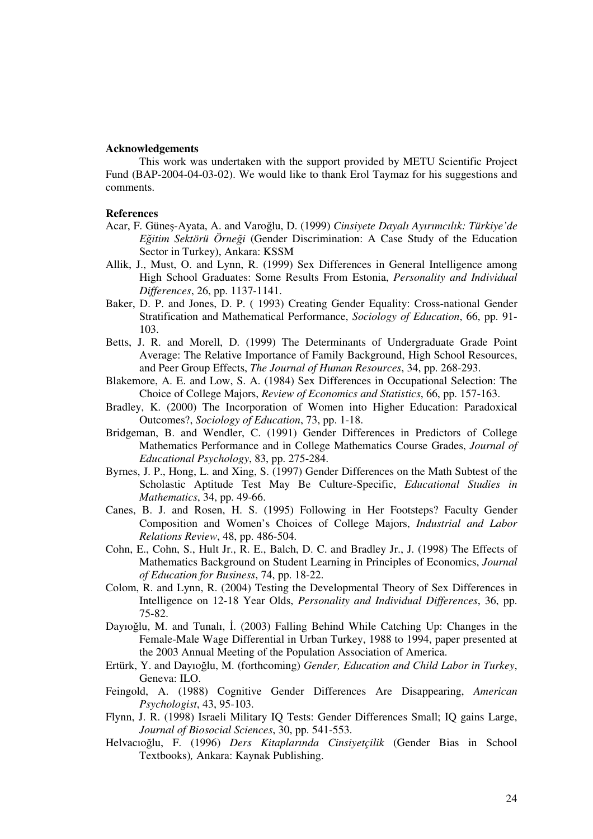#### **Acknowledgements**

This work was undertaken with the support provided by METU Scientific Project Fund (BAP-2004-04-03-02). We would like to thank Erol Taymaz for his suggestions and comments.

#### **References**

- Acar, F. Güneş-Ayata, A. and Varoğlu, D. (1999) *Cinsiyete Dayalı Ayırımcılık: Türkiye'de Eitim Sektörü Örnei* (Gender Discrimination: A Case Study of the Education Sector in Turkey), Ankara: KSSM
- Allik, J., Must, O. and Lynn, R. (1999) Sex Differences in General Intelligence among High School Graduates: Some Results From Estonia, *Personality and Individual Differences*, 26, pp. 1137-1141.
- Baker, D. P. and Jones, D. P. ( 1993) Creating Gender Equality: Cross-national Gender Stratification and Mathematical Performance, *Sociology of Education*, 66, pp. 91- 103.
- Betts, J. R. and Morell, D. (1999) The Determinants of Undergraduate Grade Point Average: The Relative Importance of Family Background, High School Resources, and Peer Group Effects, *The Journal of Human Resources*, 34, pp. 268-293.
- Blakemore, A. E. and Low, S. A. (1984) Sex Differences in Occupational Selection: The Choice of College Majors, *Review of Economics and Statistics*, 66, pp. 157-163.
- Bradley, K. (2000) The Incorporation of Women into Higher Education: Paradoxical Outcomes?, *Sociology of Education*, 73, pp. 1-18.
- Bridgeman, B. and Wendler, C. (1991) Gender Differences in Predictors of College Mathematics Performance and in College Mathematics Course Grades, *Journal of Educational Psychology*, 83, pp. 275-284.
- Byrnes, J. P., Hong, L. and Xing, S. (1997) Gender Differences on the Math Subtest of the Scholastic Aptitude Test May Be Culture-Specific, *Educational Studies in Mathematics*, 34, pp. 49-66.
- Canes, B. J. and Rosen, H. S. (1995) Following in Her Footsteps? Faculty Gender Composition and Women's Choices of College Majors, *Industrial and Labor Relations Review*, 48, pp. 486-504.
- Cohn, E., Cohn, S., Hult Jr., R. E., Balch, D. C. and Bradley Jr., J. (1998) The Effects of Mathematics Background on Student Learning in Principles of Economics, *Journal of Education for Business*, 74, pp. 18-22.
- Colom, R. and Lynn, R. (2004) Testing the Developmental Theory of Sex Differences in Intelligence on 12-18 Year Olds, *Personality and Individual Differences*, 36, pp. 75-82.
- Dayıoğlu, M. and Tunalı, İ. (2003) Falling Behind While Catching Up: Changes in the Female-Male Wage Differential in Urban Turkey, 1988 to 1994, paper presented at the 2003 Annual Meeting of the Population Association of America.
- Ertürk, Y. and Dayıoğlu, M. (forthcoming) *Gender, Education and Child Labor in Turkey*, Geneva: ILO.
- Feingold, A. (1988) Cognitive Gender Differences Are Disappearing, *American Psychologist*, 43, 95-103.
- Flynn, J. R. (1998) Israeli Military IQ Tests: Gender Differences Small; IQ gains Large, *Journal of Biosocial Sciences*, 30, pp. 541-553.
- Helvacıoğlu, F. (1996) *Ders Kitaplarında Cinsiyetçilik* (Gender Bias in School Textbooks)*,* Ankara: Kaynak Publishing.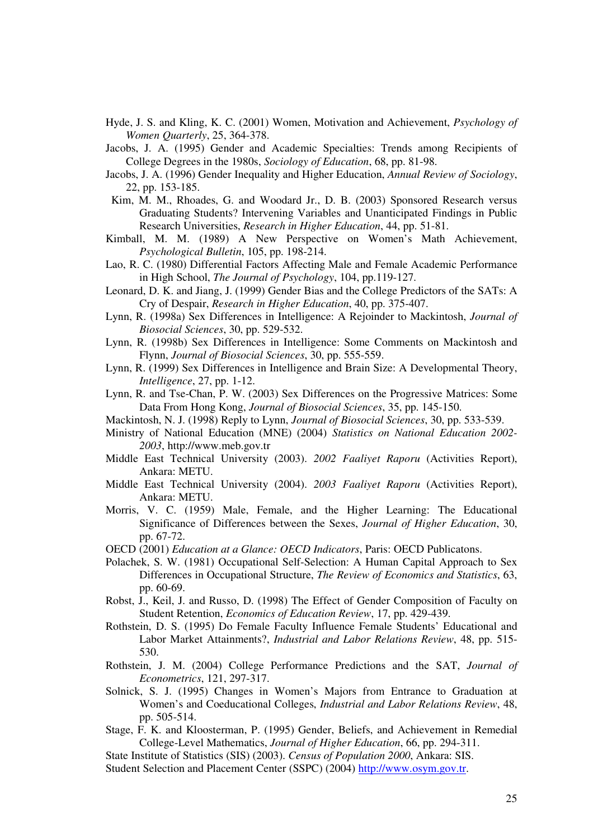- Hyde, J. S. and Kling, K. C. (2001) Women, Motivation and Achievement, *Psychology of Women Quarterly*, 25, 364-378.
- Jacobs, J. A. (1995) Gender and Academic Specialties: Trends among Recipients of College Degrees in the 1980s, *Sociology of Education*, 68, pp. 81-98.
- Jacobs, J. A. (1996) Gender Inequality and Higher Education, *Annual Review of Sociology*, 22, pp. 153-185.
- Kim, M. M., Rhoades, G. and Woodard Jr., D. B. (2003) Sponsored Research versus Graduating Students? Intervening Variables and Unanticipated Findings in Public Research Universities, *Research in Higher Education*, 44, pp. 51-81.
- Kimball, M. M. (1989) A New Perspective on Women's Math Achievement, *Psychological Bulletin*, 105, pp. 198-214.
- Lao, R. C. (1980) Differential Factors Affecting Male and Female Academic Performance in High School, *The Journal of Psychology*, 104, pp.119-127.
- Leonard, D. K. and Jiang, J. (1999) Gender Bias and the College Predictors of the SATs: A Cry of Despair, *Research in Higher Education*, 40, pp. 375-407.
- Lynn, R. (1998a) Sex Differences in Intelligence: A Rejoinder to Mackintosh, *Journal of Biosocial Sciences*, 30, pp. 529-532.
- Lynn, R. (1998b) Sex Differences in Intelligence: Some Comments on Mackintosh and Flynn, *Journal of Biosocial Sciences*, 30, pp. 555-559.
- Lynn, R. (1999) Sex Differences in Intelligence and Brain Size: A Developmental Theory, *Intelligence*, 27, pp. 1-12.
- Lynn, R. and Tse-Chan, P. W. (2003) Sex Differences on the Progressive Matrices: Some Data From Hong Kong, *Journal of Biosocial Sciences*, 35, pp. 145-150.
- Mackintosh, N. J. (1998) Reply to Lynn, *Journal of Biosocial Sciences*, 30, pp. 533-539.
- Ministry of National Education (MNE) (2004) *Statistics on National Education 2002- 2003*, http://www.meb.gov.tr
- Middle East Technical University (2003). *2002 Faaliyet Raporu* (Activities Report), Ankara: METU.
- Middle East Technical University (2004). *2003 Faaliyet Raporu* (Activities Report), Ankara: METU.
- Morris, V. C. (1959) Male, Female, and the Higher Learning: The Educational Significance of Differences between the Sexes, *Journal of Higher Education*, 30, pp. 67-72.
- OECD (2001) *Education at a Glance: OECD Indicators*, Paris: OECD Publicatons.
- Polachek, S. W. (1981) Occupational Self-Selection: A Human Capital Approach to Sex Differences in Occupational Structure, *The Review of Economics and Statistics*, 63, pp. 60-69.
- Robst, J., Keil, J. and Russo, D. (1998) The Effect of Gender Composition of Faculty on Student Retention, *Economics of Education Review*, 17, pp. 429-439.
- Rothstein, D. S. (1995) Do Female Faculty Influence Female Students' Educational and Labor Market Attainments?, *Industrial and Labor Relations Review*, 48, pp. 515- 530.
- Rothstein, J. M. (2004) College Performance Predictions and the SAT, *Journal of Econometrics*, 121, 297-317.
- Solnick, S. J. (1995) Changes in Women's Majors from Entrance to Graduation at Women's and Coeducational Colleges, *Industrial and Labor Relations Review*, 48, pp. 505-514.
- Stage, F. K. and Kloosterman, P. (1995) Gender, Beliefs, and Achievement in Remedial College-Level Mathematics, *Journal of Higher Education*, 66, pp. 294-311.

State Institute of Statistics (SIS) (2003). *Census of Population 2000*, Ankara: SIS. Student Selection and Placement Center (SSPC) (2004) http://www.osym.gov.tr.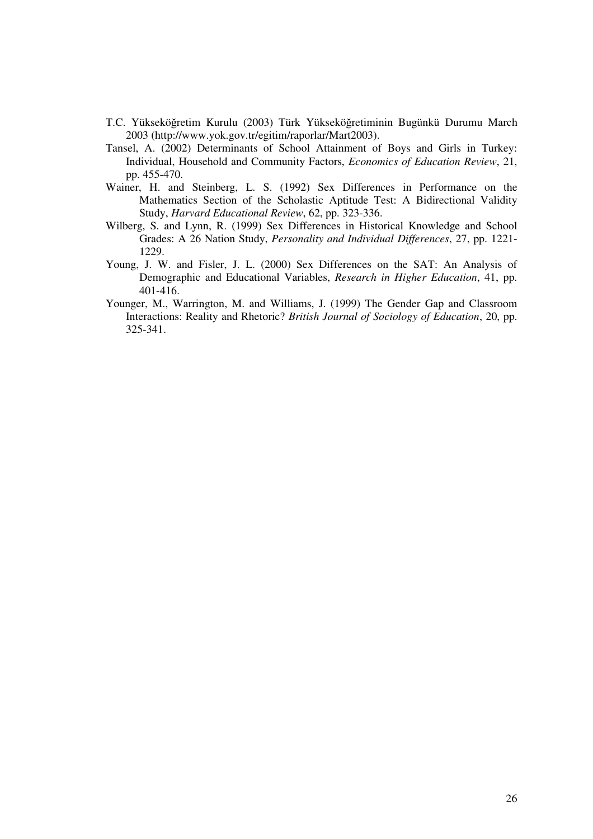- T.C. Yükseköğretim Kurulu (2003) Türk Yükseköğretiminin Bugünkü Durumu March 2003 (http://www.yok.gov.tr/egitim/raporlar/Mart2003).
- Tansel, A. (2002) Determinants of School Attainment of Boys and Girls in Turkey: Individual, Household and Community Factors, *Economics of Education Review*, 21, pp. 455-470.
- Wainer, H. and Steinberg, L. S. (1992) Sex Differences in Performance on the Mathematics Section of the Scholastic Aptitude Test: A Bidirectional Validity Study, *Harvard Educational Review*, 62, pp. 323-336.
- Wilberg, S. and Lynn, R. (1999) Sex Differences in Historical Knowledge and School Grades: A 26 Nation Study, *Personality and Individual Differences*, 27, pp. 1221- 1229.
- Young, J. W. and Fisler, J. L. (2000) Sex Differences on the SAT: An Analysis of Demographic and Educational Variables, *Research in Higher Education*, 41, pp. 401-416.
- Younger, M., Warrington, M. and Williams, J. (1999) The Gender Gap and Classroom Interactions: Reality and Rhetoric? *British Journal of Sociology of Education*, 20, pp. 325-341.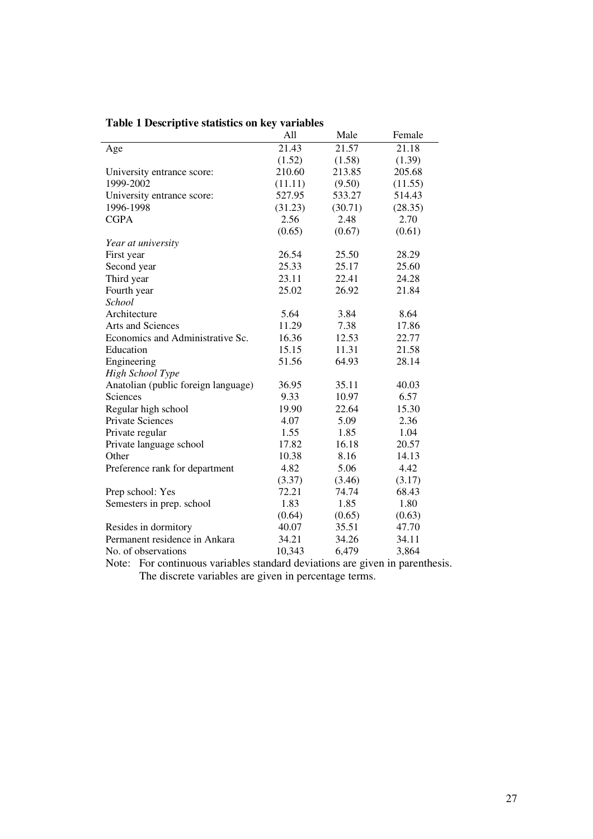|  |  |  | Table 1 Descriptive statistics on key variables |
|--|--|--|-------------------------------------------------|
|--|--|--|-------------------------------------------------|

|                                     | All     | Male    | Female  |
|-------------------------------------|---------|---------|---------|
| Age                                 | 21.43   | 21.57   | 21.18   |
|                                     | (1.52)  | (1.58)  | (1.39)  |
| University entrance score:          | 210.60  | 213.85  | 205.68  |
| 1999-2002                           | (11.11) | (9.50)  | (11.55) |
| University entrance score:          | 527.95  | 533.27  | 514.43  |
| 1996-1998                           | (31.23) | (30.71) | (28.35) |
| <b>CGPA</b>                         | 2.56    | 2.48    | 2.70    |
|                                     | (0.65)  | (0.67)  | (0.61)  |
| Year at university                  |         |         |         |
| First year                          | 26.54   | 25.50   | 28.29   |
| Second year                         | 25.33   | 25.17   | 25.60   |
| Third year                          | 23.11   | 22.41   | 24.28   |
| Fourth year                         | 25.02   | 26.92   | 21.84   |
| School                              |         |         |         |
| Architecture                        | 5.64    | 3.84    | 8.64    |
| <b>Arts and Sciences</b>            | 11.29   | 7.38    | 17.86   |
| Economics and Administrative Sc.    | 16.36   | 12.53   | 22.77   |
| Education                           | 15.15   | 11.31   | 21.58   |
| Engineering                         | 51.56   | 64.93   | 28.14   |
| High School Type                    |         |         |         |
| Anatolian (public foreign language) | 36.95   | 35.11   | 40.03   |
| Sciences                            | 9.33    | 10.97   | 6.57    |
| Regular high school                 | 19.90   | 22.64   | 15.30   |
| <b>Private Sciences</b>             | 4.07    | 5.09    | 2.36    |
| Private regular                     | 1.55    | 1.85    | 1.04    |
| Private language school             | 17.82   | 16.18   | 20.57   |
| Other                               | 10.38   | 8.16    | 14.13   |
| Preference rank for department      | 4.82    | 5.06    | 4.42    |
|                                     | (3.37)  | (3.46)  | (3.17)  |
| Prep school: Yes                    | 72.21   | 74.74   | 68.43   |
| Semesters in prep. school           | 1.83    | 1.85    | 1.80    |
|                                     | (0.64)  | (0.65)  | (0.63)  |
| Resides in dormitory                | 40.07   | 35.51   | 47.70   |
| Permanent residence in Ankara       | 34.21   | 34.26   | 34.11   |
| No. of observations                 | 10,343  | 6,479   | 3,864   |

Note: For continuous variables standard deviations are given in parenthesis. The discrete variables are given in percentage terms.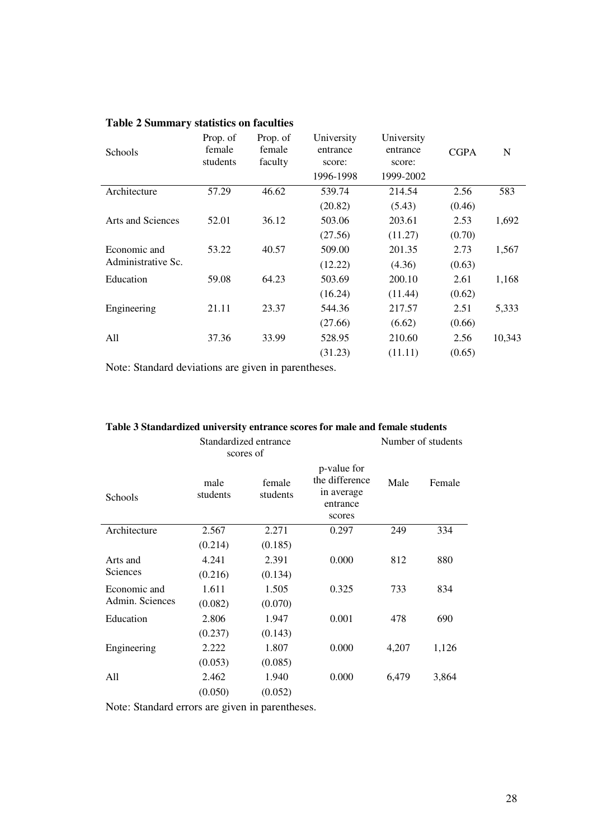| Prop. of<br>female<br>students | Prop. of<br>female<br>faculty | University<br>entrance<br>score: | University<br>entrance<br>score: | <b>CGPA</b> | $\mathbf N$ |
|--------------------------------|-------------------------------|----------------------------------|----------------------------------|-------------|-------------|
|                                |                               |                                  |                                  |             |             |
| 57.29                          | 46.62                         | 539.74                           | 214.54                           | 2.56        | 583         |
|                                |                               | (20.82)                          | (5.43)                           | (0.46)      |             |
| 52.01                          | 36.12                         | 503.06                           | 203.61                           | 2.53        | 1,692       |
|                                |                               | (27.56)                          | (11.27)                          | (0.70)      |             |
| 53.22                          | 40.57                         | 509.00                           | 201.35                           | 2.73        | 1,567       |
|                                |                               | (12.22)                          | (4.36)                           | (0.63)      |             |
| 59.08                          | 64.23                         | 503.69                           | 200.10                           | 2.61        | 1,168       |
|                                |                               | (16.24)                          | (11.44)                          | (0.62)      |             |
| 21.11                          | 23.37                         | 544.36                           | 217.57                           | 2.51        | 5,333       |
|                                |                               | (27.66)                          | (6.62)                           | (0.66)      |             |
| 37.36                          | 33.99                         | 528.95                           | 210.60                           | 2.56        | 10,343      |
|                                |                               | (31.23)                          | (11.11)                          | (0.65)      |             |
|                                |                               |                                  | 1996-1998                        | 1999-2002   |             |

## **Table 2 Summary statistics on faculties**

Note: Standard deviations are given in parentheses.

|                 |                  | Standardized entrance<br>scores of |                                                                   | Number of students |        |  |
|-----------------|------------------|------------------------------------|-------------------------------------------------------------------|--------------------|--------|--|
| Schools         | male<br>students | female<br>students                 | p-value for<br>the difference<br>in average<br>entrance<br>scores | Male               | Female |  |
| Architecture    | 2.567            | 2.271                              | 0.297                                                             | 249                | 334    |  |
|                 | (0.214)          | (0.185)                            |                                                                   |                    |        |  |
| Arts and        | 4.241            | 2.391                              | 0.000                                                             | 812                | 880    |  |
| Sciences        | (0.216)          | (0.134)                            |                                                                   |                    |        |  |
| Economic and    | 1.611            | 1.505                              | 0.325                                                             | 733                | 834    |  |
| Admin. Sciences | (0.082)          | (0.070)                            |                                                                   |                    |        |  |
| Education       | 2.806            | 1.947                              | 0.001                                                             | 478                | 690    |  |
|                 | (0.237)          | (0.143)                            |                                                                   |                    |        |  |
| Engineering     | 2.222            | 1.807                              | 0.000                                                             | 4,207              | 1,126  |  |
|                 | (0.053)          | (0.085)                            |                                                                   |                    |        |  |
| All             | 2.462            | 1.940                              | 0.000                                                             | 6,479              | 3,864  |  |
|                 | (0.050)          | (0.052)                            |                                                                   |                    |        |  |
|                 |                  |                                    |                                                                   |                    |        |  |

## **Table 3 Standardized university entrance scores for male and female students**

Note: Standard errors are given in parentheses.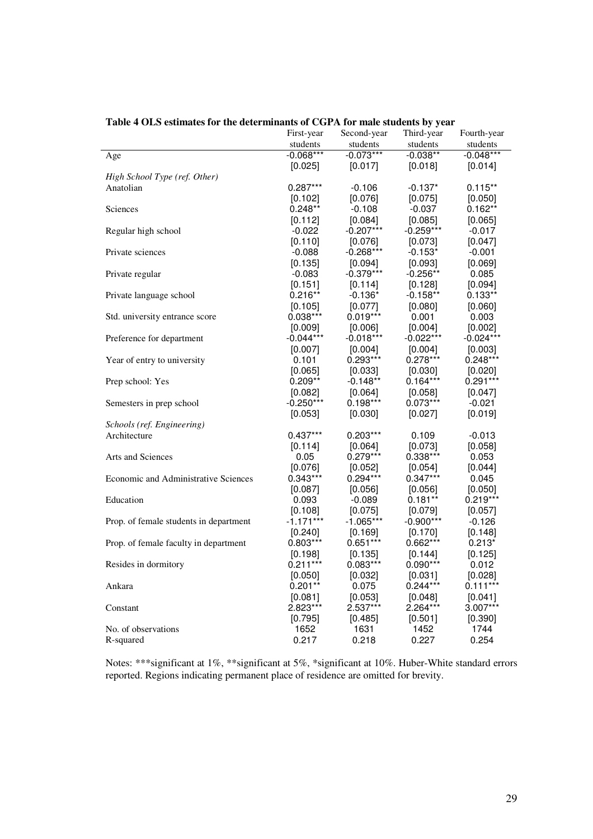|                                             | First-year  | Second-year           | Third-year            | Fourth-year |
|---------------------------------------------|-------------|-----------------------|-----------------------|-------------|
|                                             | students    | students              | students              | students    |
| Age                                         | $-0.068***$ | $-0.073***$           | $-0.038**$            | $-0.048***$ |
|                                             | [0.025]     | [0.017]               | [0.018]               | [0.014]     |
| High School Type (ref. Other)               |             |                       |                       |             |
| Anatolian                                   | $0.287***$  | $-0.106$              | $-0.137*$             | $0.115**$   |
|                                             | [0.102]     | [0.076]               | [0.075]               | [0.050]     |
| Sciences                                    | $0.248**$   | $-0.108$              | $-0.037$              | $0.162**$   |
|                                             | [0.112]     | [0.084]               | [0.085]               | [0.065]     |
| Regular high school                         | $-0.022$    | $-0.207***$           | $-0.259***$           | $-0.017$    |
|                                             | [0.110]     | [0.076]               | [0.073]               | [0.047]     |
| Private sciences                            | $-0.088$    | $-0.268***$           | $-0.153*$             | $-0.001$    |
|                                             | [0.135]     | [0.094]               | [0.093]               | [0.069]     |
| Private regular                             | $-0.083$    | $-0.379***$           | $-0.256**$            | 0.085       |
|                                             | [0.151]     | [0.114]               | [0.128]               | [0.094]     |
| Private language school                     | $0.216**$   | $-0.136*$             | $-0.158**$            | $0.133**$   |
|                                             | [0.105]     | [0.077]               | [0.080]               | [0.060]     |
| Std. university entrance score              | $0.038***$  | $0.019***$            | 0.001                 | 0.003       |
|                                             | [0.009]     | [0.006]               | [0.004]               | [0.002]     |
| Preference for department                   | $-0.044***$ | $-0.018***$           | $-0.022***$           | $-0.024***$ |
|                                             | $[0.007]$   | [0.004]               | [0.004]               | [0.003]     |
| Year of entry to university                 | 0.101       | $0.293***$            | $0.278***$            | $0.248***$  |
|                                             | [0.065]     | $[0.033]$             | [0.030]               | [0.020]     |
| Prep school: Yes                            | $0.209**$   | -0.148**              | $0.164***$            | $0.291***$  |
|                                             | [0.082]     | [0.064]               | [0.058]               | [0.047]     |
| Semesters in prep school                    | $-0.250***$ | $0.198***$            | $0.073***$            | $-0.021$    |
|                                             | [0.053]     | [0.030]               | [0.027]               | [0.019]     |
|                                             |             |                       |                       |             |
| Schools (ref. Engineering)<br>Architecture  | $0.437***$  | 0.203***              | 0.109                 | $-0.013$    |
|                                             | [0.114]     |                       |                       | [0.058]     |
| <b>Arts and Sciences</b>                    | 0.05        | [0.064]<br>0.279***   | [0.073]<br>0.338***   | 0.053       |
|                                             |             |                       |                       |             |
| <b>Economic and Administrative Sciences</b> | [0.076]     | [0.052]<br>$0.294***$ | [0.054]<br>$0.347***$ | [0.044]     |
|                                             | $0.343***$  |                       |                       | 0.045       |
|                                             | $[0.087]$   | [0.056]               | [0.056]               | [0.050]     |
| Education                                   | 0.093       | $-0.089$              | $0.181**$             | $0.219***$  |
|                                             | [0.108]     | $[0.075]$             | [0.079]               | [0.057]     |
| Prop. of female students in department      | $-1.171***$ | $-1.065***$           | $-0.900***$           | $-0.126$    |
|                                             | [0.240]     | [0.169]               | [0.170]               | [0.148]     |
| Prop. of female faculty in department       | $0.803***$  | $0.651***$            | 0.662***              | $0.213*$    |
|                                             | [0.198]     | [0.135]               | [0.144]               | [0.125]     |
| Resides in dormitory                        | $0.211***$  | 0.083***              | $0.090***$            | 0.012       |
|                                             | [0.050]     | [0.032]               | [0.031]               | [0.028]     |
| Ankara                                      | $0.201**$   | 0.075                 | $0.244***$            | $0.111***$  |
|                                             | [0.081]     | [0.053]               | [0.048]               | [0.041]     |
| Constant                                    | 2.823***    | 2.537***              | 2.264***              | 3.007***    |
|                                             | [0.795]     | [0.485]               | [0.501]               | [0.390]     |
| No. of observations                         | 1652        | 1631                  | 1452                  | 1744        |
| R-squared                                   | 0.217       | 0.218                 | 0.227                 | 0.254       |

## **Table 4 OLS estimates for the determinants of CGPA for male students by year**

Notes: \*\*\*significant at 1%, \*\*significant at 5%, \*significant at 10%. Huber-White standard errors reported. Regions indicating permanent place of residence are omitted for brevity.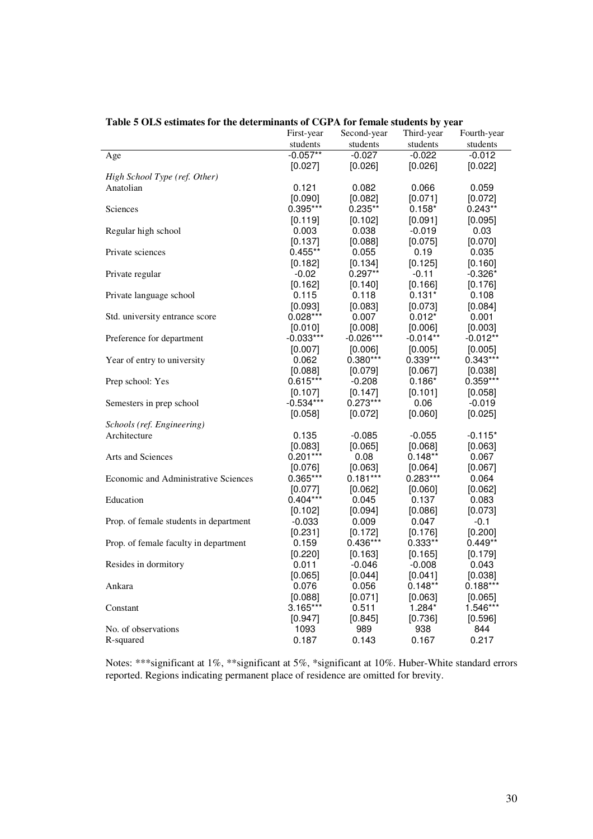|                                             | First-year  | Second-year | Third-year | Fourth-year |
|---------------------------------------------|-------------|-------------|------------|-------------|
|                                             | students    | students    | students   | students    |
| Age                                         | $-0.057**$  | $-0.027$    | $-0.022$   | $-0.012$    |
|                                             | [0.027]     | [0.026]     | [0.026]    | [0.022]     |
| High School Type (ref. Other)               |             |             |            |             |
| Anatolian                                   | 0.121       | 0.082       | 0.066      | 0.059       |
|                                             | [0.090]     | [0.082]     | [0.071]    | [0.072]     |
| Sciences                                    | $0.395***$  | $0.235**$   | $0.158*$   | $0.243**$   |
|                                             | [0.119]     | [0.102]     | [0.091]    | [0.095]     |
| Regular high school                         | 0.003       | 0.038       | $-0.019$   | 0.03        |
|                                             | [0.137]     | [0.088]     | [0.075]    | [0.070]     |
| Private sciences                            | $0.455**$   | 0.055       | 0.19       | 0.035       |
|                                             | [0.182]     | [0.134]     | [0.125]    | [0.160]     |
| Private regular                             | $-0.02$     | $0.297**$   | $-0.11$    | $-0.326*$   |
|                                             | [0.162]     | [0.140]     | [0.166]    | [0.176]     |
|                                             | 0.115       | 0.118       | $0.131*$   | 0.108       |
| Private language school                     |             |             |            |             |
|                                             | [0.093]     | [0.083]     | [0.073]    | [0.084]     |
| Std. university entrance score              | $0.028***$  | 0.007       | $0.012*$   | 0.001       |
|                                             | [0.010]     | [0.008]     | [0.006]    | [0.003]     |
| Preference for department                   | $-0.033***$ | $-0.026***$ | $-0.014**$ | $-0.012**$  |
|                                             | [0.007]     | [0.006]     | [0.005]    | [0.005]     |
| Year of entry to university                 | 0.062       | 0.380***    | 0.339***   | $0.343***$  |
|                                             | [0.088]     | [0.079]     | [0.067]    | [0.038]     |
| Prep school: Yes                            | $0.615***$  | $-0.208$    | $0.186*$   | 0.359***    |
|                                             | [0.107]     | $[0.147]$   | [0.101]    | [0.058]     |
| Semesters in prep school                    | $-0.534***$ | 0.273***    | 0.06       | $-0.019$    |
|                                             | [0.058]     | [0.072]     | [0.060]    | [0.025]     |
| Schools (ref. Engineering)                  |             |             |            |             |
| Architecture                                | 0.135       | $-0.085$    | $-0.055$   | $-0.115*$   |
|                                             | [0.083]     | [0.065]     | [0.068]    | [0.063]     |
| <b>Arts and Sciences</b>                    | $0.201***$  | 0.08        | $0.148**$  | 0.067       |
|                                             | [0.076]     | [0.063]     | [0.064]    | [0.067]     |
| <b>Economic and Administrative Sciences</b> | $0.365***$  | $0.181***$  | 0.283***   | 0.064       |
|                                             | [0.077]     | [0.062]     | [0.060]    | [0.062]     |
| Education                                   | $0.404***$  | 0.045       | 0.137      | 0.083       |
|                                             | [0.102]     | [0.094]     | [0.086]    | [0.073]     |
| Prop. of female students in department      | $-0.033$    | 0.009       | 0.047      | $-0.1$      |
|                                             | [0.231]     | [0.172]     | [0.176]    | [0.200]     |
| Prop. of female faculty in department       | 0.159       | $0.436***$  | 0.333**    | $0.449**$   |
|                                             | [0.220]     | [0.163]     | [0.165]    | [0.179]     |
| Resides in dormitory                        | 0.011       | $-0.046$    | $-0.008$   | 0.043       |
|                                             | [0.065]     | $[0.044]$   | [0.041]    | [0.038]     |
| Ankara                                      | 0.076       | 0.056       | $0.148**$  | $0.188***$  |
|                                             | [0.088]     | [0.071]     | [0.063]    | [0.065]     |
| Constant                                    | $3.165***$  | 0.511       | 1.284*     | 1.546***    |
|                                             |             |             | [0.736]    |             |
|                                             | [0.947]     | [0.845]     |            | [0.596]     |
| No. of observations                         | 1093        | 989         | 938        | 844         |
| R-squared                                   | 0.187       | 0.143       | 0.167      | 0.217       |

## **Table 5 OLS estimates for the determinants of CGPA for female students by year**

Notes: \*\*\*significant at 1%, \*\*significant at 5%, \*significant at 10%. Huber-White standard errors reported. Regions indicating permanent place of residence are omitted for brevity.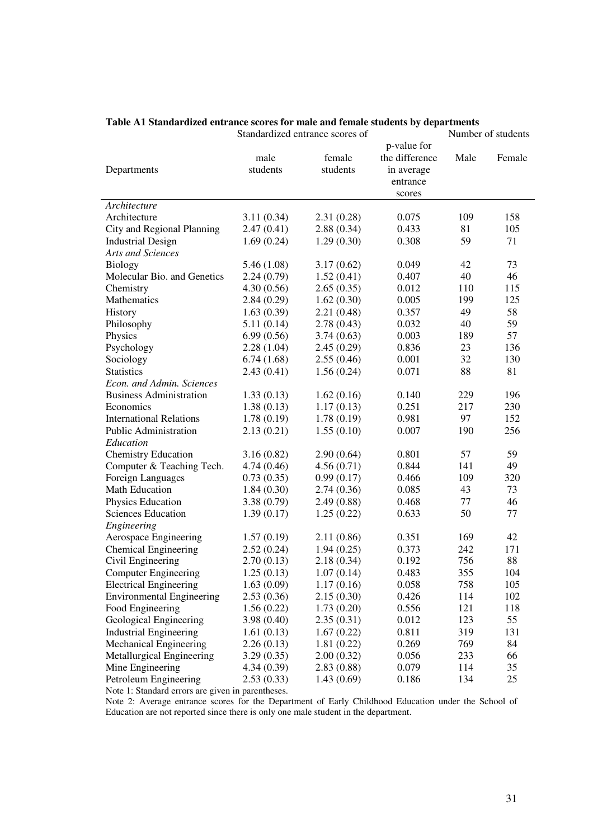|                                                                            |                  | Standardized entrance scores of |                                                                   | Number of students |        |  |
|----------------------------------------------------------------------------|------------------|---------------------------------|-------------------------------------------------------------------|--------------------|--------|--|
| Departments                                                                | male<br>students | female<br>students              | p-value for<br>the difference<br>in average<br>entrance<br>scores | Male               | Female |  |
| Architecture                                                               |                  |                                 |                                                                   |                    |        |  |
| Architecture                                                               | 3.11(0.34)       | 2.31(0.28)                      | 0.075                                                             | 109                | 158    |  |
| City and Regional Planning                                                 | 2.47(0.41)       | 2.88(0.34)                      | 0.433                                                             | 81                 | 105    |  |
| <b>Industrial Design</b>                                                   | 1.69(0.24)       | 1.29(0.30)                      | 0.308                                                             | 59                 | 71     |  |
| Arts and Sciences                                                          |                  |                                 |                                                                   |                    |        |  |
| <b>Biology</b>                                                             | 5.46 (1.08)      | 3.17(0.62)                      | 0.049                                                             | 42                 | 73     |  |
| Molecular Bio. and Genetics                                                | 2.24(0.79)       | 1.52(0.41)                      | 0.407                                                             | 40                 | 46     |  |
| Chemistry                                                                  | 4.30(0.56)       | 2.65(0.35)                      | 0.012                                                             | 110                | 115    |  |
| Mathematics                                                                | 2.84(0.29)       | 1.62(0.30)                      | 0.005                                                             | 199                | 125    |  |
| History                                                                    | 1.63(0.39)       | 2.21(0.48)                      | 0.357                                                             | 49                 | 58     |  |
| Philosophy                                                                 | 5.11(0.14)       | 2.78(0.43)                      | 0.032                                                             | 40                 | 59     |  |
| Physics                                                                    | 6.99(0.56)       | 3.74(0.63)                      | 0.003                                                             | 189                | 57     |  |
| Psychology                                                                 | 2.28(1.04)       | 2.45(0.29)                      | 0.836                                                             | 23                 | 136    |  |
| Sociology                                                                  | 6.74(1.68)       | 2.55(0.46)                      | 0.001                                                             | 32                 | 130    |  |
| <b>Statistics</b>                                                          | 2.43(0.41)       | 1.56(0.24)                      | 0.071                                                             | 88                 | 81     |  |
| Econ. and Admin. Sciences                                                  |                  |                                 |                                                                   |                    |        |  |
| <b>Business Administration</b>                                             | 1.33(0.13)       | 1.62(0.16)                      | 0.140                                                             | 229                | 196    |  |
| Economics                                                                  | 1.38(0.13)       | 1.17(0.13)                      | 0.251                                                             | 217                | 230    |  |
| <b>International Relations</b>                                             | 1.78(0.19)       | 1.78(0.19)                      | 0.981                                                             | 97                 | 152    |  |
| <b>Public Administration</b>                                               | 2.13(0.21)       | 1.55(0.10)                      | 0.007                                                             | 190                | 256    |  |
| Education                                                                  |                  |                                 |                                                                   |                    |        |  |
| <b>Chemistry Education</b>                                                 | 3.16(0.82)       | 2.90(0.64)                      | 0.801                                                             | 57                 | 59     |  |
| Computer & Teaching Tech.                                                  | 4.74(0.46)       | 4.56(0.71)                      | 0.844                                                             | 141                | 49     |  |
| Foreign Languages                                                          | 0.73(0.35)       | 0.99(0.17)                      | 0.466                                                             | 109                | 320    |  |
| <b>Math Education</b>                                                      | 1.84(0.30)       | 2.74(0.36)                      | 0.085                                                             | 43                 | 73     |  |
| Physics Education                                                          | 3.38(0.79)       | 2.49(0.88)                      | 0.468                                                             | 77                 | 46     |  |
| <b>Sciences Education</b>                                                  |                  |                                 | 0.633                                                             | 50                 | 77     |  |
|                                                                            | 1.39(0.17)       | 1.25(0.22)                      |                                                                   |                    |        |  |
| Engineering                                                                |                  |                                 |                                                                   | 169                | 42     |  |
| Aerospace Engineering<br><b>Chemical Engineering</b>                       | 1.57(0.19)       | 2.11(0.86)                      | 0.351<br>0.373                                                    | 242                | 171    |  |
| Civil Engineering                                                          | 2.52(0.24)       | 1.94(0.25)<br>2.18(0.34)        |                                                                   |                    | 88     |  |
|                                                                            | 2.70(0.13)       |                                 | 0.192<br>0.483                                                    | 756<br>355         | 104    |  |
| <b>Computer Engineering</b>                                                | 1.25(0.13)       | 1.07(0.14)                      |                                                                   |                    |        |  |
| <b>Electrical Engineering</b>                                              | 1.63(0.09)       | 1.17(0.16)                      | 0.058                                                             | 758                | 105    |  |
| <b>Environmental Engineering</b>                                           | 2.53(0.36)       | 2.15(0.30)                      | 0.426                                                             | 114                | 102    |  |
| Food Engineering                                                           | 1.56(0.22)       | 1.73(0.20)                      | 0.556                                                             | 121                | 118    |  |
| Geological Engineering                                                     | 3.98(0.40)       | 2.35(0.31)                      | 0.012                                                             | 123                | 55     |  |
| <b>Industrial Engineering</b>                                              | 1.61(0.13)       | 1.67(0.22)                      | 0.811                                                             | 319                | 131    |  |
| Mechanical Engineering                                                     | 2.26(0.13)       | 1.81(0.22)                      | 0.269                                                             | 769                | 84     |  |
| Metallurgical Engineering                                                  | 3.29(0.35)       | 2.00(0.32)                      | 0.056                                                             | 233                | 66     |  |
| Mine Engineering                                                           | 4.34(0.39)       | 2.83(0.88)                      | 0.079                                                             | 114                | 35     |  |
| Petroleum Engineering<br>Note 1: Standard errors are given in parentheses. | 2.53(0.33)       | 1.43(0.69)                      | 0.186                                                             | 134                | 25     |  |

#### **Table A1 Standardized entrance scores for male and female students by departments**

Note 2: Average entrance scores for the Department of Early Childhood Education under the School of Education are not reported since there is only one male student in the department.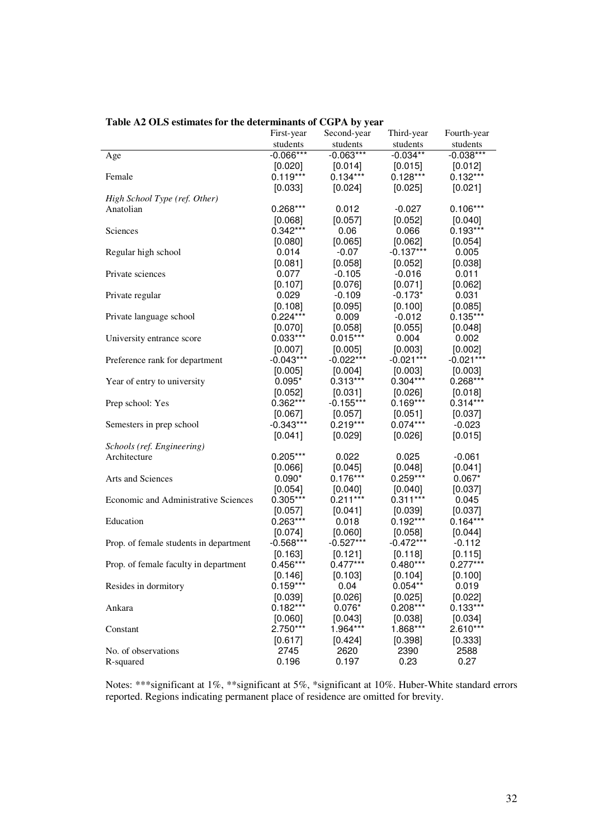|                                        | First-year  | Second-year | Third-year  | Fourth-year |
|----------------------------------------|-------------|-------------|-------------|-------------|
|                                        | students    | students    | students    | students    |
| Age                                    | $-0.066***$ | $-0.063***$ | $-0.034**$  | $-0.038***$ |
|                                        | [0.020]     | [0.014]     | [0.015]     | [0.012]     |
| Female                                 | $0.119***$  | $0.134***$  | $0.128***$  | $0.132***$  |
|                                        | [0.033]     | [0.024]     | [0.025]     | [0.021]     |
| High School Type (ref. Other)          |             |             |             |             |
| Anatolian                              | $0.268***$  | 0.012       | $-0.027$    | $0.106***$  |
|                                        | [0.068]     | [0.057]     | [0.052]     | [0.040]     |
| Sciences                               | $0.342***$  | 0.06        | 0.066       | $0.193***$  |
|                                        | [0.080]     | [0.065]     | [0.062]     | [0.054]     |
| Regular high school                    | 0.014       | $-0.07$     | $-0.137***$ | 0.005       |
|                                        | [0.081]     | [0.058]     | [0.052]     | [0.038]     |
| Private sciences                       | 0.077       | $-0.105$    | $-0.016$    | 0.011       |
|                                        | [0.107]     | $[0.076]$   | [0.071]     | [0.062]     |
| Private regular                        | 0.029       | $-0.109$    | $-0.173*$   | 0.031       |
|                                        | [0.108]     | [0.095]     | [0.100]     | [0.085]     |
| Private language school                | $0.224***$  | 0.009       | $-0.012$    | $0.135***$  |
|                                        | [0.070]     | [0.058]     | [0.055]     | [0.048]     |
| University entrance score              | $0.033***$  | $0.015***$  | 0.004       | 0.002       |
|                                        | [0.007]     | [0.005]     | [0.003]     | [0.002]     |
| Preference rank for department         | $-0.043***$ | $-0.022***$ | $-0.021***$ | $-0.021***$ |
|                                        | [0.005]     | [0.004]     | [0.003]     | [0.003]     |
| Year of entry to university            | $0.095*$    | $0.313***$  | $0.304***$  | $0.268***$  |
|                                        | [0.052]     | $[0.031]$   | [0.026]     | [0.018]     |
| Prep school: Yes                       | $0.362***$  | $-0.155***$ | $0.169***$  | $0.314***$  |
|                                        | [0.067]     | $[0.057]$   | [0.051]     | [0.037]     |
| Semesters in prep school               | $-0.343***$ | $0.219***$  | $0.074***$  | $-0.023$    |
|                                        | [0.041]     | [0.029]     | [0.026]     | [0.015]     |
| Schools (ref. Engineering)             |             |             |             |             |
| Architecture                           | $0.205***$  | 0.022       | 0.025       | $-0.061$    |
|                                        | [0.066]     | [0.045]     | [0.048]     | [0.041]     |
| Arts and Sciences                      | $0.090*$    | $0.176***$  | $0.259***$  | $0.067*$    |
|                                        | [0.054]     | $[0.040]$   | [0.040]     | [0.037]     |
| Economic and Administrative Sciences   | $0.305***$  | $0.211***$  | $0.311***$  | 0.045       |
|                                        | [0.057]     | [0.041]     | [0.039]     | [0.037]     |
| Education                              | $0.263***$  | 0.018       | $0.192***$  | $0.164***$  |
|                                        | [0.074]     | [0.060]     | [0.058]     | [0.044]     |
| Prop. of female students in department | $-0.568***$ | $-0.527***$ | $-0.472***$ | $-0.112$    |
|                                        | [0.163]     | [0.121]     | [0.118]     | [0.115]     |
| Prop. of female faculty in department  | $0.456***$  | $0.477***$  | $0.480***$  | $0.277***$  |
|                                        | [0.146]     | [0.103]     | [0.104]     | [0.100]     |
| Resides in dormitory                   | $0.159***$  | 0.04        | $0.054**$   | 0.019       |
|                                        | [0.039]     | [0.026]     | [0.025]     | [0.022]     |
| Ankara                                 | $0.182***$  | $0.076*$    | $0.208***$  | $0.133***$  |
|                                        | [0.060]     | [0.043]     | [0.038]     | [0.034]     |
| Constant                               | 2.750***    | 1.964***    | 1.868***    | 2.610***    |
|                                        | [0.617]     | [0.424]     | [0.398]     | [0.333]     |
| No. of observations                    | 2745        | 2620        | 2390        | 2588        |
| R-squared                              | 0.196       | 0.197       | 0.23        | 0.27        |

|  |  |  |  | Table A2 OLS estimates for the determinants of CGPA by year |  |  |  |  |  |  |  |  |
|--|--|--|--|-------------------------------------------------------------|--|--|--|--|--|--|--|--|
|--|--|--|--|-------------------------------------------------------------|--|--|--|--|--|--|--|--|

Notes: \*\*\*significant at 1%, \*\*significant at 5%, \*significant at 10%. Huber-White standard errors reported. Regions indicating permanent place of residence are omitted for brevity.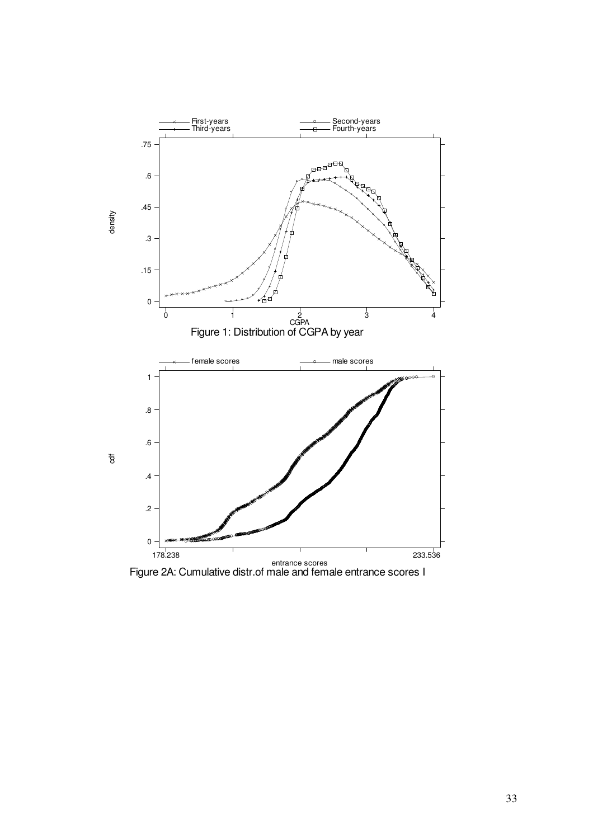